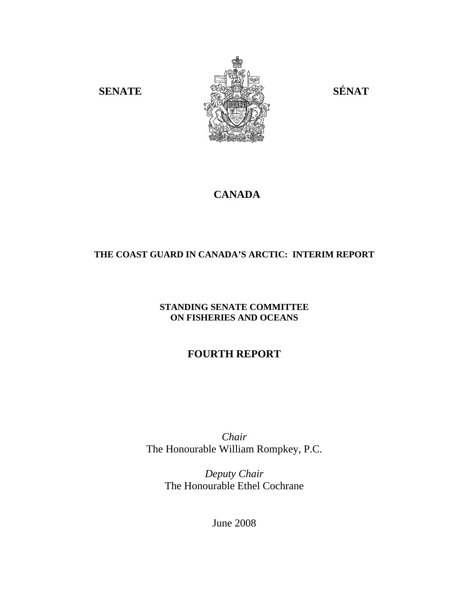

# **CANADA**

# **THE COAST GUARD IN CANADA'S ARCTIC: INTERIM REPORT**

# **STANDING SENATE COMMITTEE ON FISHERIES AND OCEANS**

# **FOURTH REPORT**

*Chair*  The Honourable William Rompkey, P.C.

> *Deputy Chair*  The Honourable Ethel Cochrane

> > June 2008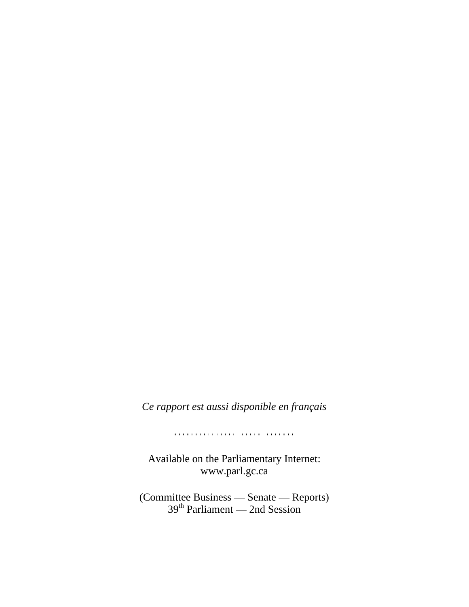*Ce rapport est aussi disponible en français* 

Available on the Parliamentary Internet: www.parl.gc.ca

(Committee Business — Senate — Reports) 39<sup>th</sup> Parliament — 2nd Session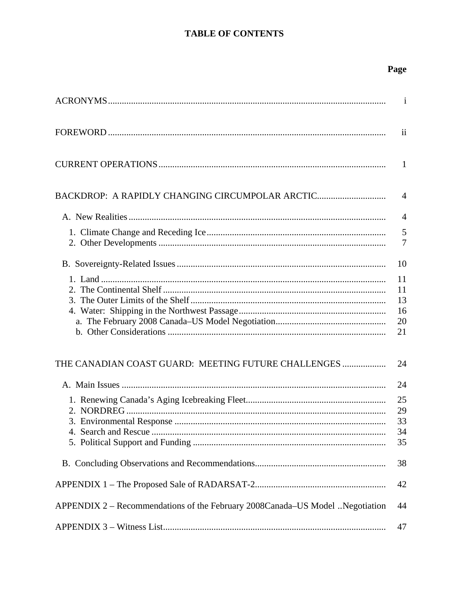# **TABLE OF CONTENTS**

# Page

|                                                                              | $\mathbf{i}$                     |
|------------------------------------------------------------------------------|----------------------------------|
|                                                                              | $\overline{\mathbf{u}}$          |
|                                                                              | -1                               |
| BACKDROP: A RAPIDLY CHANGING CIRCUMPOLAR ARCTIC                              | $\overline{4}$                   |
|                                                                              | $\overline{4}$                   |
|                                                                              | 5<br>7                           |
|                                                                              | 10                               |
|                                                                              | 11<br>11<br>13<br>16<br>20<br>21 |
| THE CANADIAN COAST GUARD: MEETING FUTURE CHALLENGES                          | 24                               |
|                                                                              | 24                               |
|                                                                              | 25<br>29<br>33<br>34<br>35       |
|                                                                              | 38                               |
|                                                                              | 42                               |
| APPENDIX 2 – Recommendations of the February 2008Canada–US Model Negotiation | 44                               |
|                                                                              | 47                               |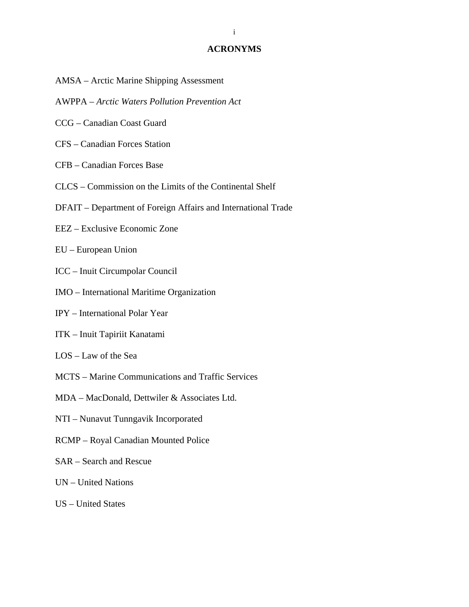#### **ACRONYMS**

- AMSA Arctic Marine Shipping Assessment
- AWPPA – *Arctic Waters Pollution Prevention Act*
- CCG Canadian Coast Guard
- CFS Canadian Forces Station
- CFB Canadian Forces Base
- CLCS Commission on the Limits of the Continental Shelf
- DFAIT Department of Foreign Affairs and International Trade
- EEZ Exclusive Economic Zone
- EU European Union
- ICC Inuit Circumpolar Council
- IMO International Maritime Organization
- IPY International Polar Year
- ITK Inuit Tapiriit Kanatami
- LOS Law of the Sea
- MCTS Marine Communications and Traffic Services
- MDA MacDonald, Dettwiler & Associates Ltd.
- NTI Nunavut Tunngavik Incorporated
- RCMP Royal Canadian Mounted Police
- SAR Search and Rescue
- UN United Nations
- US United States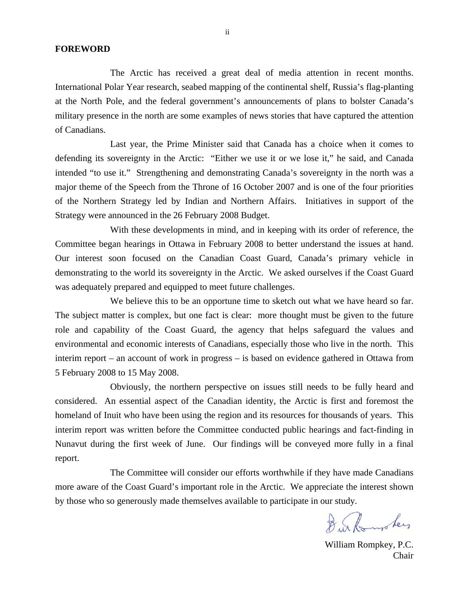**FOREWORD** 

The Arctic has received a great deal of media attention in recent months. International Polar Year research, seabed mapping of the continental shelf, Russia's flag-planting at the North Pole, and the federal government's announcements of plans to bolster Canada's military presence in the north are some examples of news stories that have captured the attention of Canadians.

Last year, the Prime Minister said that Canada has a choice when it comes to defending its sovereignty in the Arctic: "Either we use it or we lose it," he said, and Canada intended "to use it." Strengthening and demonstrating Canada's sovereignty in the north was a major theme of the Speech from the Throne of 16 October 2007 and is one of the four priorities of the Northern Strategy led by Indian and Northern Affairs. Initiatives in support of the Strategy were announced in the 26 February 2008 Budget.

With these developments in mind, and in keeping with its order of reference, the Committee began hearings in Ottawa in February 2008 to better understand the issues at hand. Our interest soon focused on the Canadian Coast Guard, Canada's primary vehicle in demonstrating to the world its sovereignty in the Arctic. We asked ourselves if the Coast Guard was adequately prepared and equipped to meet future challenges.

We believe this to be an opportune time to sketch out what we have heard so far. The subject matter is complex, but one fact is clear: more thought must be given to the future role and capability of the Coast Guard, the agency that helps safeguard the values and environmental and economic interests of Canadians, especially those who live in the north. This interim report – an account of work in progress – is based on evidence gathered in Ottawa from 5 February 2008 to 15 May 2008.

Obviously, the northern perspective on issues still needs to be fully heard and considered. An essential aspect of the Canadian identity, the Arctic is first and foremost the homeland of Inuit who have been using the region and its resources for thousands of years. This interim report was written before the Committee conducted public hearings and fact-finding in Nunavut during the first week of June. Our findings will be conveyed more fully in a final report.

The Committee will consider our efforts worthwhile if they have made Canadians more aware of the Coast Guard's important role in the Arctic. We appreciate the interest shown by those who so generously made themselves available to participate in our study.

Dur bourshers

William Rompkey, P.C. Chair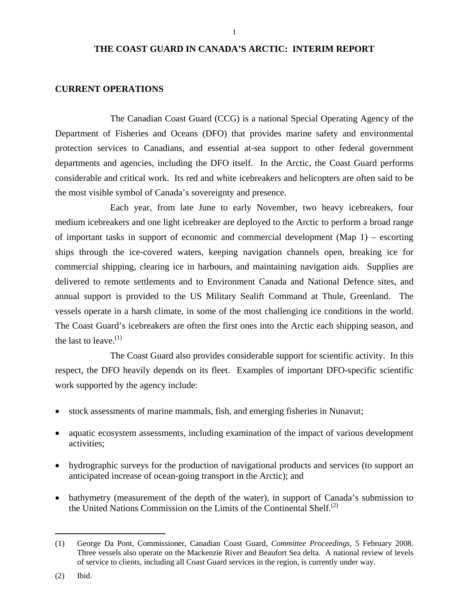### **THE COAST GUARD IN CANADA'S ARCTIC: INTERIM REPORT**

## **CURRENT OPERATIONS**

The Canadian Coast Guard (CCG) is a national Special Operating Agency of the Department of Fisheries and Oceans (DFO) that provides marine safety and environmental protection services to Canadians, and essential at-sea support to other federal government departments and agencies, including the DFO itself. In the Arctic, the Coast Guard performs considerable and critical work. Its red and white icebreakers and helicopters are often said to be the most visible symbol of Canada's sovereignty and presence.

Each year, from late June to early November, two heavy icebreakers, four medium icebreakers and one light icebreaker are deployed to the Arctic to perform a broad range of important tasks in support of economic and commercial development (Map 1) – escorting ships through the ice-covered waters, keeping navigation channels open, breaking ice for commercial shipping, clearing ice in harbours, and maintaining navigation aids. Supplies are delivered to remote settlements and to Environment Canada and National Defence sites, and annual support is provided to the US Military Sealift Command at Thule, Greenland. The vessels operate in a harsh climate, in some of the most challenging ice conditions in the world. The Coast Guard's icebreakers are often the first ones into the Arctic each shipping season, and the last to leave. $(1)$ 

The Coast Guard also provides considerable support for scientific activity. In this respect, the DFO heavily depends on its fleet. Examples of important DFO-specific scientific work supported by the agency include:

- stock assessments of marine mammals, fish, and emerging fisheries in Nunavut;
- aquatic ecosystem assessments, including examination of the impact of various development activities;
- hydrographic surveys for the production of navigational products and services (to support an anticipated increase of ocean-going transport in the Arctic); and
- bathymetry (measurement of the depth of the water), in support of Canada's submission to the United Nations Commission on the Limits of the Continental Shelf.<sup>(2)</sup>

<sup>(1)</sup> George Da Pont, Commissioner, Canadian Coast Guard, *Committee Proceedings*, 5 February 2008. Three vessels also operate on the Mackenzie River and Beaufort Sea delta. A national review of levels of service to clients, including all Coast Guard services in the region, is currently under way.

<sup>(2)</sup> Ibid.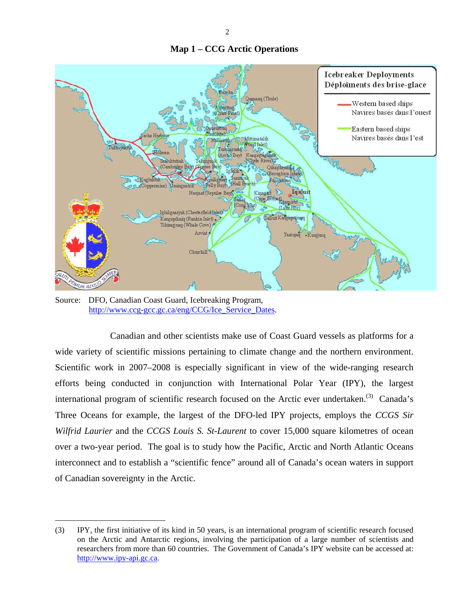

### **Map 1 – CCG Arctic Operations**



Source: DFO, Canadian Coast Guard, Icebreaking Program, http://www.ccg-gcc.gc.ca/eng/CCG/Ice\_Service\_Dates.

 $\overline{a}$ 

Canadian and other scientists make use of Coast Guard vessels as platforms for a wide variety of scientific missions pertaining to climate change and the northern environment. Scientific work in 2007–2008 is especially significant in view of the wide-ranging research efforts being conducted in conjunction with International Polar Year (IPY), the largest international program of scientific research focused on the Arctic ever undertaken.<sup>(3)</sup> Canada's Three Oceans for example, the largest of the DFO-led IPY projects, employs the *CCGS Sir Wilfrid Laurier* and the *CCGS Louis S. St-Laurent* to cover 15,000 square kilometres of ocean over a two-year period. The goal is to study how the Pacific, Arctic and North Atlantic Oceans interconnect and to establish a "scientific fence" around all of Canada's ocean waters in support of Canadian sovereignty in the Arctic.

<sup>(3)</sup> IPY, the first initiative of its kind in 50 years, is an international program of scientific research focused on the Arctic and Antarctic regions, involving the participation of a large number of scientists and researchers from more than 60 countries. The Government of Canada's IPY website can be accessed at: http://www.ipy-api.gc.ca.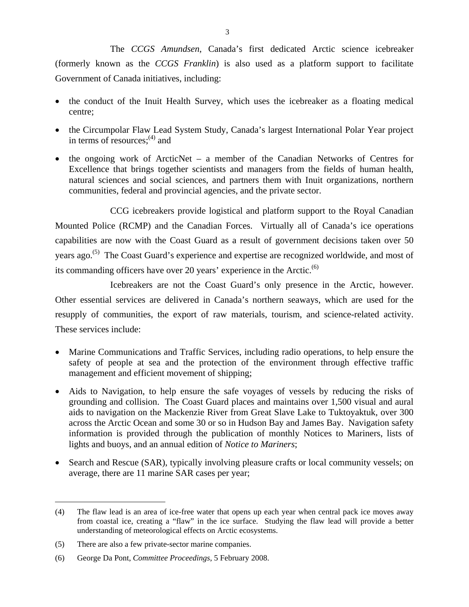The *CCGS Amundsen*, Canada's first dedicated Arctic science icebreaker (formerly known as the *CCGS Franklin*) is also used as a platform support to facilitate Government of Canada initiatives, including:

- the conduct of the Inuit Health Survey, which uses the icebreaker as a floating medical centre;
- the Circumpolar Flaw Lead System Study, Canada's largest International Polar Year project in terms of resources; $^{(4)}$  and
- the ongoing work of ArcticNet a member of the Canadian Networks of Centres for Excellence that brings together scientists and managers from the fields of human health, natural sciences and social sciences, and partners them with Inuit organizations, northern communities, federal and provincial agencies, and the private sector.

CCG icebreakers provide logistical and platform support to the Royal Canadian Mounted Police (RCMP) and the Canadian Forces. Virtually all of Canada's ice operations capabilities are now with the Coast Guard as a result of government decisions taken over 50 years ago.<sup>(5)</sup> The Coast Guard's experience and expertise are recognized worldwide, and most of its commanding officers have over 20 years' experience in the Arctic. $(6)$ 

Icebreakers are not the Coast Guard's only presence in the Arctic, however. Other essential services are delivered in Canada's northern seaways, which are used for the resupply of communities, the export of raw materials, tourism, and science-related activity. These services include:

- Marine Communications and Traffic Services, including radio operations, to help ensure the safety of people at sea and the protection of the environment through effective traffic management and efficient movement of shipping;
- Aids to Navigation, to help ensure the safe voyages of vessels by reducing the risks of grounding and collision. The Coast Guard places and maintains over 1,500 visual and aural aids to navigation on the Mackenzie River from Great Slave Lake to Tuktoyaktuk, over 300 across the Arctic Ocean and some 30 or so in Hudson Bay and James Bay. Navigation safety information is provided through the publication of monthly Notices to Mariners, lists of lights and buoys, and an annual edition of *Notice to Mariners*;
- Search and Rescue (SAR), typically involving pleasure crafts or local community vessels; on average, there are 11 marine SAR cases per year;

<sup>(4)</sup> The flaw lead is an area of ice-free water that opens up each year when central pack ice moves away from coastal ice, creating a "flaw" in the ice surface. Studying the flaw lead will provide a better understanding of meteorological effects on Arctic ecosystems.

<sup>(5)</sup> There are also a few private-sector marine companies.

<sup>(6)</sup> George Da Pont, *Committee Proceedings*, 5 February 2008.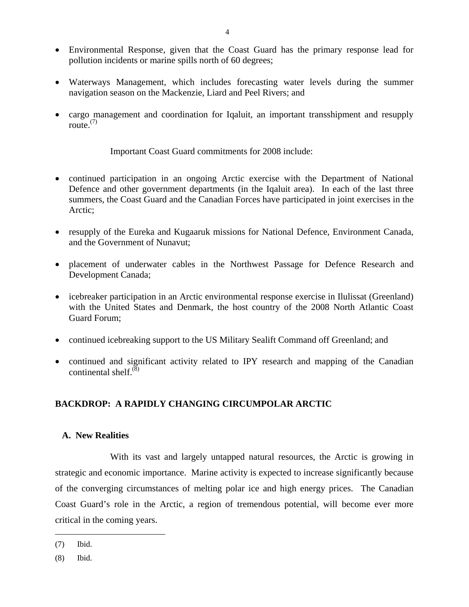- Environmental Response, given that the Coast Guard has the primary response lead for pollution incidents or marine spills north of 60 degrees;
- Waterways Management, which includes forecasting water levels during the summer navigation season on the Mackenzie, Liard and Peel Rivers; and
- cargo management and coordination for Iqaluit, an important transshipment and resupply route. $(7)$

Important Coast Guard commitments for 2008 include:

- continued participation in an ongoing Arctic exercise with the Department of National Defence and other government departments (in the Iqaluit area). In each of the last three summers, the Coast Guard and the Canadian Forces have participated in joint exercises in the Arctic;
- resupply of the Eureka and Kugaaruk missions for National Defence, Environment Canada, and the Government of Nunavut;
- placement of underwater cables in the Northwest Passage for Defence Research and Development Canada;
- icebreaker participation in an Arctic environmental response exercise in Ilulissat (Greenland) with the United States and Denmark, the host country of the 2008 North Atlantic Coast Guard Forum;
- continued icebreaking support to the US Military Sealift Command off Greenland; and
- continued and significant activity related to IPY research and mapping of the Canadian continental shelf. $^{(8)}$

# **BACKDROP: A RAPIDLY CHANGING CIRCUMPOLAR ARCTIC**

### **A. New Realities**

With its vast and largely untapped natural resources, the Arctic is growing in strategic and economic importance. Marine activity is expected to increase significantly because of the converging circumstances of melting polar ice and high energy prices. The Canadian Coast Guard's role in the Arctic, a region of tremendous potential, will become ever more critical in the coming years.

<sup>(7)</sup> Ibid.

<sup>(8)</sup> Ibid.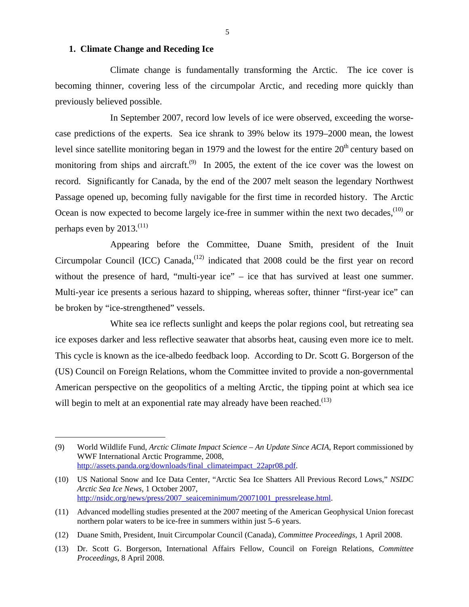### **1. Climate Change and Receding Ice**

 $\overline{a}$ 

Climate change is fundamentally transforming the Arctic. The ice cover is becoming thinner, covering less of the circumpolar Arctic, and receding more quickly than previously believed possible.

In September 2007, record low levels of ice were observed, exceeding the worsecase predictions of the experts. Sea ice shrank to 39% below its 1979–2000 mean, the lowest level since satellite monitoring began in 1979 and the lowest for the entire 20<sup>th</sup> century based on monitoring from ships and aircraft. $(9)$  In 2005, the extent of the ice cover was the lowest on record. Significantly for Canada, by the end of the 2007 melt season the legendary Northwest Passage opened up, becoming fully navigable for the first time in recorded history. The Arctic Ocean is now expected to become largely ice-free in summer within the next two decades,  $(10)$  or perhaps even by  $2013$ .<sup>(11)</sup>

Appearing before the Committee, Duane Smith, president of the Inuit Circumpolar Council (ICC) Canada,<sup> $(12)$ </sup> indicated that 2008 could be the first year on record without the presence of hard, "multi-year ice" – ice that has survived at least one summer. Multi-year ice presents a serious hazard to shipping, whereas softer, thinner "first-year ice" can be broken by "ice-strengthened" vessels.

White sea ice reflects sunlight and keeps the polar regions cool, but retreating sea ice exposes darker and less reflective seawater that absorbs heat, causing even more ice to melt. This cycle is known as the ice-albedo feedback loop. According to Dr. Scott G. Borgerson of the (US) Council on Foreign Relations, whom the Committee invited to provide a non-governmental American perspective on the geopolitics of a melting Arctic, the tipping point at which sea ice will begin to melt at an exponential rate may already have been reached.<sup>(13)</sup>

<sup>(9)</sup> World Wildlife Fund, *Arctic Climate Impact Science – An Update Since ACIA*, Report commissioned by WWF International Arctic Programme, 2008, http://assets.panda.org/downloads/final\_climateimpact\_22apr08.pdf.

<sup>(10)</sup> US National Snow and Ice Data Center, "Arctic Sea Ice Shatters All Previous Record Lows," *NSIDC Arctic Sea Ice News*, 1 October 2007, http://nsidc.org/news/press/2007\_seaiceminimum/20071001\_pressrelease.html.

<sup>(11)</sup> Advanced modelling studies presented at the 2007 meeting of the American Geophysical Union forecast northern polar waters to be ice-free in summers within just 5–6 years.

<sup>(12)</sup> Duane Smith, President, Inuit Circumpolar Council (Canada), *Committee Proceedings*, 1 April 2008.

<sup>(13)</sup> Dr. Scott G. Borgerson, International Affairs Fellow, Council on Foreign Relations, *Committee Proceedings*, 8 April 2008.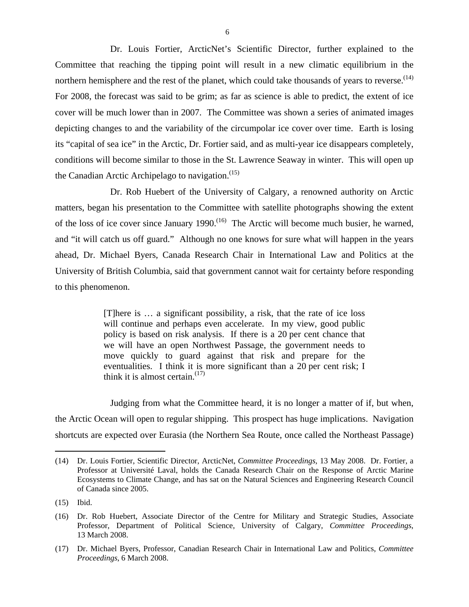Dr. Louis Fortier, ArcticNet's Scientific Director, further explained to the Committee that reaching the tipping point will result in a new climatic equilibrium in the northern hemisphere and the rest of the planet, which could take thousands of years to reverse.<sup>(14)</sup> For 2008, the forecast was said to be grim; as far as science is able to predict, the extent of ice cover will be much lower than in 2007. The Committee was shown a series of animated images depicting changes to and the variability of the circumpolar ice cover over time. Earth is losing its "capital of sea ice" in the Arctic, Dr. Fortier said, and as multi-year ice disappears completely, conditions will become similar to those in the St. Lawrence Seaway in winter. This will open up the Canadian Arctic Archipelago to navigation.<sup>(15)</sup>

Dr. Rob Huebert of the University of Calgary, a renowned authority on Arctic matters, began his presentation to the Committee with satellite photographs showing the extent of the loss of ice cover since January  $1990$ .<sup>(16)</sup> The Arctic will become much busier, he warned, and "it will catch us off guard." Although no one knows for sure what will happen in the years ahead, Dr. Michael Byers, Canada Research Chair in International Law and Politics at the University of British Columbia, said that government cannot wait for certainty before responding to this phenomenon.

> [T]here is … a significant possibility, a risk, that the rate of ice loss will continue and perhaps even accelerate. In my view, good public policy is based on risk analysis. If there is a 20 per cent chance that we will have an open Northwest Passage, the government needs to move quickly to guard against that risk and prepare for the eventualities. I think it is more significant than a 20 per cent risk; I think it is almost certain.  $(17)$

Judging from what the Committee heard, it is no longer a matter of if, but when, the Arctic Ocean will open to regular shipping. This prospect has huge implications. Navigation shortcuts are expected over Eurasia (the Northern Sea Route, once called the Northeast Passage)

<sup>(14)</sup> Dr. Louis Fortier, Scientific Director, ArcticNet, *Committee Proceedings*, 13 May 2008. Dr. Fortier, a Professor at Université Laval, holds the Canada Research Chair on the Response of Arctic Marine Ecosystems to Climate Change, and has sat on the Natural Sciences and Engineering Research Council of Canada since 2005.

<sup>(15)</sup> Ibid.

<sup>(16)</sup> Dr. Rob Huebert, Associate Director of the Centre for Military and Strategic Studies, Associate Professor, Department of Political Science, University of Calgary, *Committee Proceedings*, 13 March 2008.

<sup>(17)</sup> Dr. Michael Byers, Professor, Canadian Research Chair in International Law and Politics, *Committee Proceedings*, 6 March 2008.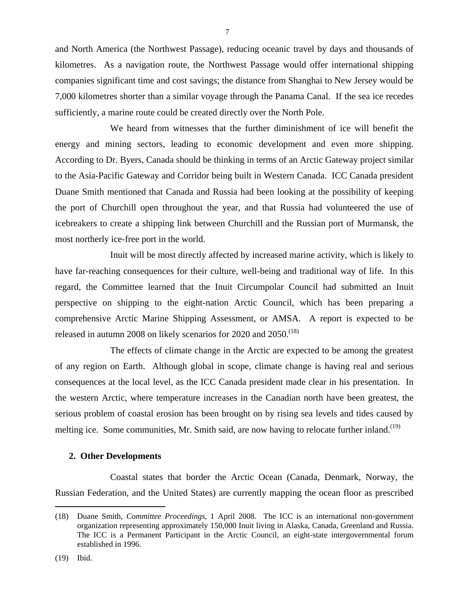and North America (the Northwest Passage), reducing oceanic travel by days and thousands of kilometres. As a navigation route, the Northwest Passage would offer international shipping companies significant time and cost savings; the distance from Shanghai to New Jersey would be 7,000 kilometres shorter than a similar voyage through the Panama Canal. If the sea ice recedes sufficiently, a marine route could be created directly over the North Pole.

We heard from witnesses that the further diminishment of ice will benefit the energy and mining sectors, leading to economic development and even more shipping. According to Dr. Byers, Canada should be thinking in terms of an Arctic Gateway project similar to the Asia-Pacific Gateway and Corridor being built in Western Canada. ICC Canada president Duane Smith mentioned that Canada and Russia had been looking at the possibility of keeping the port of Churchill open throughout the year, and that Russia had volunteered the use of icebreakers to create a shipping link between Churchill and the Russian port of Murmansk, the most northerly ice-free port in the world.

Inuit will be most directly affected by increased marine activity, which is likely to have far-reaching consequences for their culture, well-being and traditional way of life. In this regard, the Committee learned that the Inuit Circumpolar Council had submitted an Inuit perspective on shipping to the eight-nation Arctic Council, which has been preparing a comprehensive Arctic Marine Shipping Assessment, or AMSA. A report is expected to be released in autumn 2008 on likely scenarios for 2020 and  $2050$ .<sup>(18)</sup>

The effects of climate change in the Arctic are expected to be among the greatest of any region on Earth. Although global in scope, climate change is having real and serious consequences at the local level, as the ICC Canada president made clear in his presentation. In the western Arctic, where temperature increases in the Canadian north have been greatest, the serious problem of coastal erosion has been brought on by rising sea levels and tides caused by melting ice. Some communities, Mr. Smith said, are now having to relocate further inland.<sup>(19)</sup>

### **2. Other Developments**

Coastal states that border the Arctic Ocean (Canada, Denmark, Norway, the Russian Federation, and the United States) are currently mapping the ocean floor as prescribed

<sup>(18)</sup> Duane Smith, *Committee Proceedings*, 1 April 2008. The ICC is an international non-government organization representing approximately 150,000 Inuit living in Alaska, Canada, Greenland and Russia. The ICC is a Permanent Participant in the Arctic Council, an eight-state intergovernmental forum established in 1996.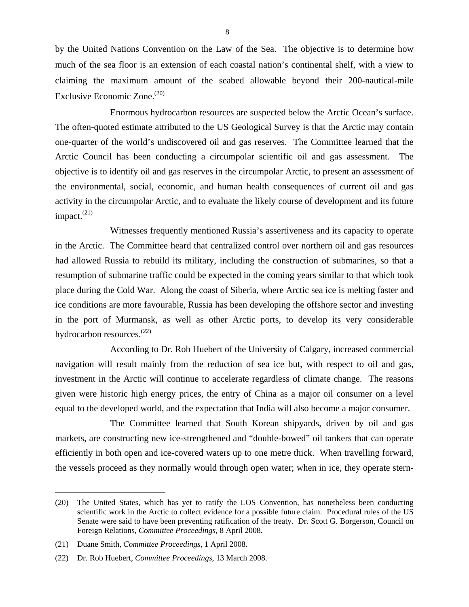by the United Nations Convention on the Law of the Sea. The objective is to determine how much of the sea floor is an extension of each coastal nation's continental shelf, with a view to claiming the maximum amount of the seabed allowable beyond their 200-nautical-mile Exclusive Economic Zone.(20)

Enormous hydrocarbon resources are suspected below the Arctic Ocean's surface. The often-quoted estimate attributed to the US Geological Survey is that the Arctic may contain one-quarter of the world's undiscovered oil and gas reserves. The Committee learned that the Arctic Council has been conducting a circumpolar scientific oil and gas assessment. The objective is to identify oil and gas reserves in the circumpolar Arctic, to present an assessment of the environmental, social, economic, and human health consequences of current oil and gas activity in the circumpolar Arctic, and to evaluate the likely course of development and its future impact.<sup>(21)</sup>

Witnesses frequently mentioned Russia's assertiveness and its capacity to operate in the Arctic. The Committee heard that centralized control over northern oil and gas resources had allowed Russia to rebuild its military, including the construction of submarines, so that a resumption of submarine traffic could be expected in the coming years similar to that which took place during the Cold War. Along the coast of Siberia, where Arctic sea ice is melting faster and ice conditions are more favourable, Russia has been developing the offshore sector and investing in the port of Murmansk, as well as other Arctic ports, to develop its very considerable hydrocarbon resources. $(22)$ 

According to Dr. Rob Huebert of the University of Calgary, increased commercial navigation will result mainly from the reduction of sea ice but, with respect to oil and gas, investment in the Arctic will continue to accelerate regardless of climate change. The reasons given were historic high energy prices, the entry of China as a major oil consumer on a level equal to the developed world, and the expectation that India will also become a major consumer.

The Committee learned that South Korean shipyards, driven by oil and gas markets, are constructing new ice-strengthened and "double-bowed" oil tankers that can operate efficiently in both open and ice-covered waters up to one metre thick. When travelling forward, the vessels proceed as they normally would through open water; when in ice, they operate stern-

<sup>(20)</sup> The United States, which has yet to ratify the LOS Convention, has nonetheless been conducting scientific work in the Arctic to collect evidence for a possible future claim. Procedural rules of the US Senate were said to have been preventing ratification of the treaty. Dr. Scott G. Borgerson, Council on Foreign Relations, *Committee Proceedings*, 8 April 2008.

<sup>(21)</sup> Duane Smith, *Committee Proceedings*, 1 April 2008.

<sup>(22)</sup> Dr. Rob Huebert, *Committee Proceedings*, 13 March 2008.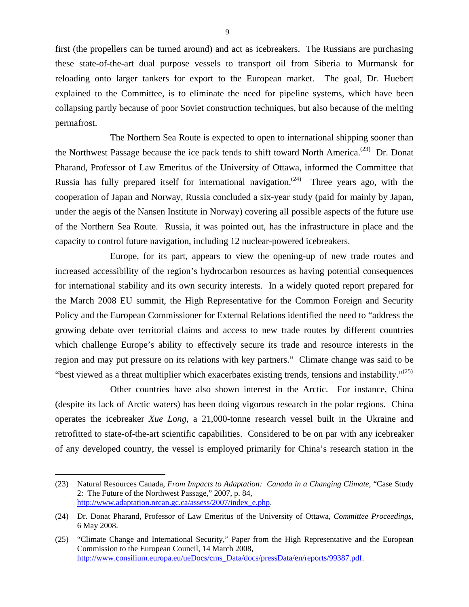first (the propellers can be turned around) and act as icebreakers. The Russians are purchasing these state-of-the-art dual purpose vessels to transport oil from Siberia to Murmansk for reloading onto larger tankers for export to the European market. The goal, Dr. Huebert explained to the Committee, is to eliminate the need for pipeline systems, which have been collapsing partly because of poor Soviet construction techniques, but also because of the melting permafrost.

The Northern Sea Route is expected to open to international shipping sooner than the Northwest Passage because the ice pack tends to shift toward North America.<sup>(23)</sup> Dr. Donat Pharand, Professor of Law Emeritus of the University of Ottawa, informed the Committee that Russia has fully prepared itself for international navigation.<sup> $(24)$ </sup> Three years ago, with the cooperation of Japan and Norway, Russia concluded a six-year study (paid for mainly by Japan, under the aegis of the Nansen Institute in Norway) covering all possible aspects of the future use of the Northern Sea Route. Russia, it was pointed out, has the infrastructure in place and the capacity to control future navigation, including 12 nuclear-powered icebreakers.

Europe, for its part, appears to view the opening-up of new trade routes and increased accessibility of the region's hydrocarbon resources as having potential consequences for international stability and its own security interests. In a widely quoted report prepared for the March 2008 EU summit, the High Representative for the Common Foreign and Security Policy and the European Commissioner for External Relations identified the need to "address the growing debate over territorial claims and access to new trade routes by different countries which challenge Europe's ability to effectively secure its trade and resource interests in the region and may put pressure on its relations with key partners." Climate change was said to be "best viewed as a threat multiplier which exacerbates existing trends, tensions and instability."<sup>(25)</sup>

Other countries have also shown interest in the Arctic. For instance, China (despite its lack of Arctic waters) has been doing vigorous research in the polar regions. China operates the icebreaker *Xue Long*, a 21,000-tonne research vessel built in the Ukraine and retrofitted to state-of-the-art scientific capabilities. Considered to be on par with any icebreaker of any developed country, the vessel is employed primarily for China's research station in the

<sup>(23)</sup> Natural Resources Canada, *From Impacts to Adaptation: Canada in a Changing Climate*, "Case Study 2: The Future of the Northwest Passage," 2007, p. 84, http://www.adaptation.nrcan.gc.ca/assess/2007/index\_e.php.

<sup>(24)</sup> Dr. Donat Pharand, Professor of Law Emeritus of the University of Ottawa, *Committee Proceedings*, 6 May 2008.

<sup>(25) &</sup>quot;Climate Change and International Security," Paper from the High Representative and the European Commission to the European Council, 14 March 2008, http://www.consilium.europa.eu/ueDocs/cms\_Data/docs/pressData/en/reports/99387.pdf.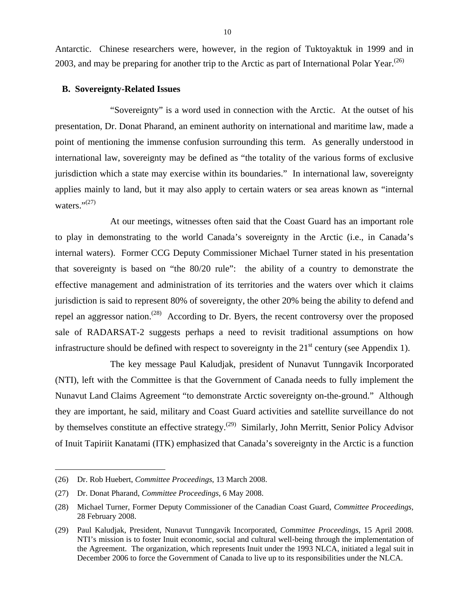Antarctic. Chinese researchers were, however, in the region of Tuktoyaktuk in 1999 and in 2003, and may be preparing for another trip to the Arctic as part of International Polar Year.<sup> $(26)$ </sup>

### **B. Sovereignty-Related Issues**

"Sovereignty" is a word used in connection with the Arctic. At the outset of his presentation, Dr. Donat Pharand, an eminent authority on international and maritime law, made a point of mentioning the immense confusion surrounding this term. As generally understood in international law, sovereignty may be defined as "the totality of the various forms of exclusive jurisdiction which a state may exercise within its boundaries." In international law, sovereignty applies mainly to land, but it may also apply to certain waters or sea areas known as "internal waters."<sup>(27)</sup>

At our meetings, witnesses often said that the Coast Guard has an important role to play in demonstrating to the world Canada's sovereignty in the Arctic (i.e., in Canada's internal waters). Former CCG Deputy Commissioner Michael Turner stated in his presentation that sovereignty is based on "the 80/20 rule": the ability of a country to demonstrate the effective management and administration of its territories and the waters over which it claims jurisdiction is said to represent 80% of sovereignty, the other 20% being the ability to defend and repel an aggressor nation.<sup> $(28)$ </sup> According to Dr. Byers, the recent controversy over the proposed sale of RADARSAT-2 suggests perhaps a need to revisit traditional assumptions on how infrastructure should be defined with respect to sovereignty in the  $21<sup>st</sup>$  century (see Appendix 1).

The key message Paul Kaludjak, president of Nunavut Tunngavik Incorporated (NTI), left with the Committee is that the Government of Canada needs to fully implement the Nunavut Land Claims Agreement "to demonstrate Arctic sovereignty on-the-ground." Although they are important, he said, military and Coast Guard activities and satellite surveillance do not by themselves constitute an effective strategy.<sup>(29)</sup> Similarly, John Merritt, Senior Policy Advisor of Inuit Tapiriit Kanatami (ITK) emphasized that Canada's sovereignty in the Arctic is a function

<sup>(26)</sup> Dr. Rob Huebert, *Committee Proceedings*, 13 March 2008.

<sup>(27)</sup> Dr. Donat Pharand, *Committee Proceedings*, 6 May 2008.

<sup>(28)</sup> Michael Turner, Former Deputy Commissioner of the Canadian Coast Guard, *Committee Proceedings*, 28 February 2008.

<sup>(29)</sup> Paul Kaludjak, President, Nunavut Tunngavik Incorporated, *Committee Proceedings*, 15 April 2008. NTI's mission is to foster Inuit economic, social and cultural well-being through the implementation of the Agreement. The organization, which represents Inuit under the 1993 NLCA, initiated a legal suit in December 2006 to force the Government of Canada to live up to its responsibilities under the NLCA.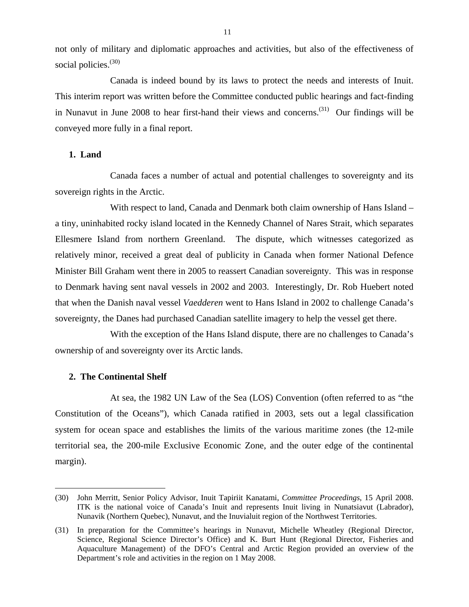not only of military and diplomatic approaches and activities, but also of the effectiveness of social policies.<sup>(30)</sup>

Canada is indeed bound by its laws to protect the needs and interests of Inuit. This interim report was written before the Committee conducted public hearings and fact-finding in Nunavut in June 2008 to hear first-hand their views and concerns.<sup>(31)</sup> Our findings will be conveyed more fully in a final report.

### **1. Land**

Canada faces a number of actual and potential challenges to sovereignty and its sovereign rights in the Arctic.

With respect to land, Canada and Denmark both claim ownership of Hans Island – a tiny, uninhabited rocky island located in the Kennedy Channel of Nares Strait, which separates Ellesmere Island from northern Greenland. The dispute, which witnesses categorized as relatively minor, received a great deal of publicity in Canada when former National Defence Minister Bill Graham went there in 2005 to reassert Canadian sovereignty. This was in response to Denmark having sent naval vessels in 2002 and 2003. Interestingly, Dr. Rob Huebert noted that when the Danish naval vessel *Vaedderen* went to Hans Island in 2002 to challenge Canada's sovereignty, the Danes had purchased Canadian satellite imagery to help the vessel get there.

With the exception of the Hans Island dispute, there are no challenges to Canada's ownership of and sovereignty over its Arctic lands.

#### **2. The Continental Shelf**

 $\overline{a}$ 

At sea, the 1982 UN Law of the Sea (LOS) Convention (often referred to as "the Constitution of the Oceans"), which Canada ratified in 2003, sets out a legal classification system for ocean space and establishes the limits of the various maritime zones (the 12-mile territorial sea, the 200-mile Exclusive Economic Zone, and the outer edge of the continental margin).

<sup>(30)</sup> John Merritt, Senior Policy Advisor, Inuit Tapiriit Kanatami, *Committee Proceedings*, 15 April 2008. ITK is the national voice of Canada's Inuit and represents Inuit living in Nunatsiavut (Labrador), Nunavik (Northern Quebec), Nunavut, and the Inuvialuit region of the Northwest Territories.

<sup>(31)</sup> In preparation for the Committee's hearings in Nunavut, Michelle Wheatley (Regional Director, Science, Regional Science Director's Office) and K. Burt Hunt (Regional Director, Fisheries and Aquaculture Management) of the DFO's Central and Arctic Region provided an overview of the Department's role and activities in the region on 1 May 2008.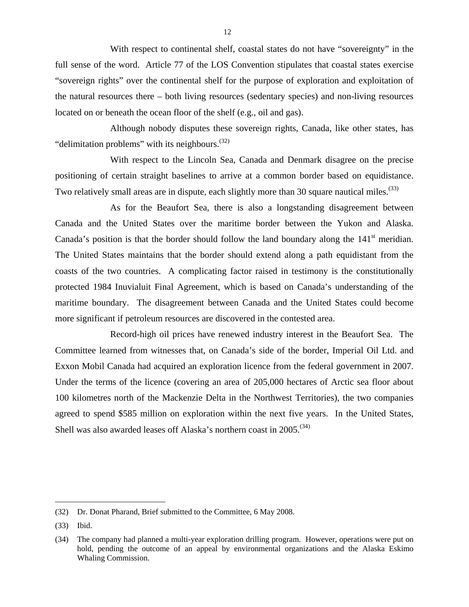With respect to continental shelf, coastal states do not have "sovereignty" in the full sense of the word. Article 77 of the LOS Convention stipulates that coastal states exercise "sovereign rights" over the continental shelf for the purpose of exploration and exploitation of the natural resources there – both living resources (sedentary species) and non-living resources located on or beneath the ocean floor of the shelf (e.g., oil and gas).

Although nobody disputes these sovereign rights, Canada, like other states, has "delimitation problems" with its neighbours. $^{(32)}$ 

With respect to the Lincoln Sea, Canada and Denmark disagree on the precise positioning of certain straight baselines to arrive at a common border based on equidistance. Two relatively small areas are in dispute, each slightly more than 30 square nautical miles.<sup>(33)</sup>

As for the Beaufort Sea, there is also a longstanding disagreement between Canada and the United States over the maritime border between the Yukon and Alaska. Canada's position is that the border should follow the land boundary along the  $141<sup>st</sup>$  meridian. The United States maintains that the border should extend along a path equidistant from the coasts of the two countries. A complicating factor raised in testimony is the constitutionally protected 1984 Inuvialuit Final Agreement, which is based on Canada's understanding of the maritime boundary. The disagreement between Canada and the United States could become more significant if petroleum resources are discovered in the contested area.

Record-high oil prices have renewed industry interest in the Beaufort Sea. The Committee learned from witnesses that, on Canada's side of the border, Imperial Oil Ltd. and Exxon Mobil Canada had acquired an exploration licence from the federal government in 2007. Under the terms of the licence (covering an area of 205,000 hectares of Arctic sea floor about 100 kilometres north of the Mackenzie Delta in the Northwest Territories), the two companies agreed to spend \$585 million on exploration within the next five years. In the United States, Shell was also awarded leases off Alaska's northern coast in 2005.<sup>(34)</sup>

<sup>(32)</sup> Dr. Donat Pharand, Brief submitted to the Committee, 6 May 2008.

<sup>(33)</sup> Ibid.

<sup>(34)</sup> The company had planned a multi-year exploration drilling program. However, operations were put on hold, pending the outcome of an appeal by environmental organizations and the Alaska Eskimo Whaling Commission.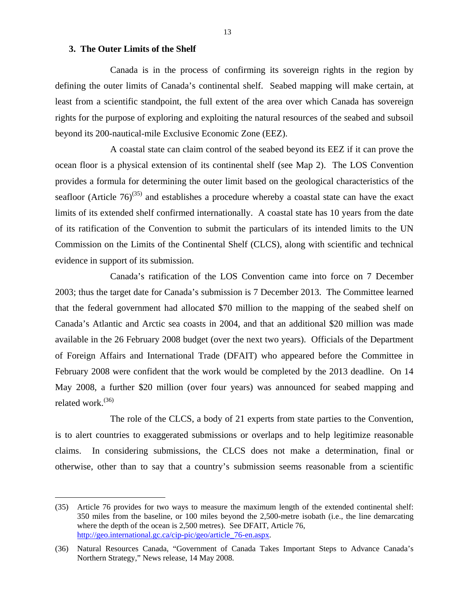#### **3. The Outer Limits of the Shelf**

 $\overline{a}$ 

Canada is in the process of confirming its sovereign rights in the region by defining the outer limits of Canada's continental shelf. Seabed mapping will make certain, at least from a scientific standpoint, the full extent of the area over which Canada has sovereign rights for the purpose of exploring and exploiting the natural resources of the seabed and subsoil beyond its 200-nautical-mile Exclusive Economic Zone (EEZ).

A coastal state can claim control of the seabed beyond its EEZ if it can prove the ocean floor is a physical extension of its continental shelf (see Map 2). The LOS Convention provides a formula for determining the outer limit based on the geological characteristics of the seafloor (Article  $76^{(35)}$  and establishes a procedure whereby a coastal state can have the exact limits of its extended shelf confirmed internationally. A coastal state has 10 years from the date of its ratification of the Convention to submit the particulars of its intended limits to the UN Commission on the Limits of the Continental Shelf (CLCS), along with scientific and technical evidence in support of its submission.

Canada's ratification of the LOS Convention came into force on 7 December 2003; thus the target date for Canada's submission is 7 December 2013. The Committee learned that the federal government had allocated \$70 million to the mapping of the seabed shelf on Canada's Atlantic and Arctic sea coasts in 2004, and that an additional \$20 million was made available in the 26 February 2008 budget (over the next two years). Officials of the Department of Foreign Affairs and International Trade (DFAIT) who appeared before the Committee in February 2008 were confident that the work would be completed by the 2013 deadline. On 14 May 2008, a further \$20 million (over four years) was announced for seabed mapping and related work.<sup>(36)</sup>

The role of the CLCS, a body of 21 experts from state parties to the Convention, is to alert countries to exaggerated submissions or overlaps and to help legitimize reasonable claims. In considering submissions, the CLCS does not make a determination, final or otherwise, other than to say that a country's submission seems reasonable from a scientific

<sup>(35)</sup> Article 76 provides for two ways to measure the maximum length of the extended continental shelf: 350 miles from the baseline, or 100 miles beyond the 2,500-metre isobath (i.e., the line demarcating where the depth of the ocean is 2,500 metres). See DFAIT, Article 76, http://geo.international.gc.ca/cip-pic/geo/article\_76-en.aspx.

<sup>(36)</sup> Natural Resources Canada, "Government of Canada Takes Important Steps to Advance Canada's Northern Strategy," News release, 14 May 2008.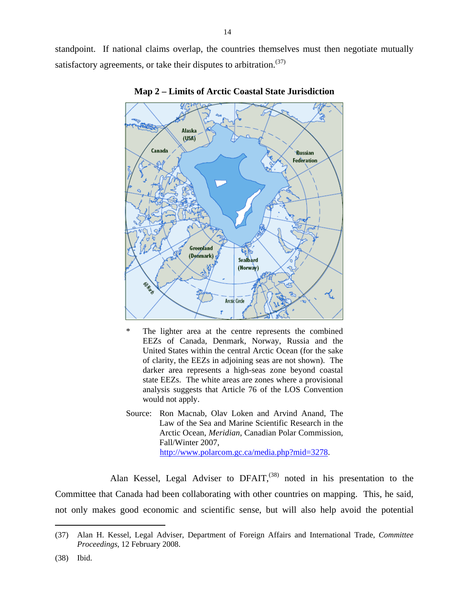standpoint. If national claims overlap, the countries themselves must then negotiate mutually satisfactory agreements, or take their disputes to arbitration.<sup>(37)</sup>



**Map 2 – Limits of Arctic Coastal State Jurisdiction** 

- \* The lighter area at the centre represents the combined EEZs of Canada, Denmark, Norway, Russia and the United States within the central Arctic Ocean (for the sake of clarity, the EEZs in adjoining seas are not shown). The darker area represents a high-seas zone beyond coastal state EEZs. The white areas are zones where a provisional analysis suggests that Article 76 of the LOS Convention would not apply.
- Source: Ron Macnab, Olav Loken and Arvind Anand, The Law of the Sea and Marine Scientific Research in the Arctic Ocean, *Meridian*, Canadian Polar Commission, Fall/Winter 2007, http://www.polarcom.gc.ca/media.php?mid=3278.

Alan Kessel, Legal Adviser to DFAIT,<sup>(38)</sup> noted in his presentation to the Committee that Canada had been collaborating with other countries on mapping. This, he said, not only makes good economic and scientific sense, but will also help avoid the potential

l

<sup>(37)</sup> Alan H. Kessel, Legal Adviser, Department of Foreign Affairs and International Trade, *Committee Proceedings*, 12 February 2008.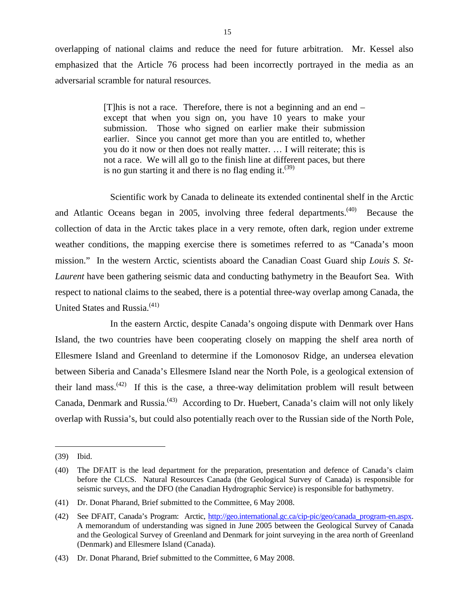overlapping of national claims and reduce the need for future arbitration. Mr. Kessel also emphasized that the Article 76 process had been incorrectly portrayed in the media as an adversarial scramble for natural resources.

> [T]his is not a race. Therefore, there is not a beginning and an end – except that when you sign on, you have 10 years to make your submission. Those who signed on earlier make their submission earlier. Since you cannot get more than you are entitled to, whether you do it now or then does not really matter. … I will reiterate; this is not a race. We will all go to the finish line at different paces, but there is no gun starting it and there is no flag ending it.<sup>(39)</sup>

Scientific work by Canada to delineate its extended continental shelf in the Arctic and Atlantic Oceans began in 2005, involving three federal departments.<sup> $(40)$ </sup> Because the collection of data in the Arctic takes place in a very remote, often dark, region under extreme weather conditions, the mapping exercise there is sometimes referred to as "Canada's moon mission." In the western Arctic, scientists aboard the Canadian Coast Guard ship *Louis S. St-Laurent* have been gathering seismic data and conducting bathymetry in the Beaufort Sea. With respect to national claims to the seabed, there is a potential three-way overlap among Canada, the United States and Russia. $(41)$ 

In the eastern Arctic, despite Canada's ongoing dispute with Denmark over Hans Island, the two countries have been cooperating closely on mapping the shelf area north of Ellesmere Island and Greenland to determine if the Lomonosov Ridge, an undersea elevation between Siberia and Canada's Ellesmere Island near the North Pole, is a geological extension of their land mass.<sup> $(42)$ </sup> If this is the case, a three-way delimitation problem will result between Canada, Denmark and Russia.<sup>(43)</sup> According to Dr. Huebert, Canada's claim will not only likely overlap with Russia's, but could also potentially reach over to the Russian side of the North Pole,

<sup>(39)</sup> Ibid.

<sup>(40)</sup> The DFAIT is the lead department for the preparation, presentation and defence of Canada's claim before the CLCS. Natural Resources Canada (the Geological Survey of Canada) is responsible for seismic surveys, and the DFO (the Canadian Hydrographic Service) is responsible for bathymetry.

<sup>(41)</sup> Dr. Donat Pharand, Brief submitted to the Committee, 6 May 2008.

<sup>(42)</sup> See DFAIT, Canada's Program: Arctic, http://geo.international.gc.ca/cip-pic/geo/canada\_program-en.aspx. A memorandum of understanding was signed in June 2005 between the Geological Survey of Canada and the Geological Survey of Greenland and Denmark for joint surveying in the area north of Greenland (Denmark) and Ellesmere Island (Canada).

<sup>(43)</sup> Dr. Donat Pharand, Brief submitted to the Committee, 6 May 2008.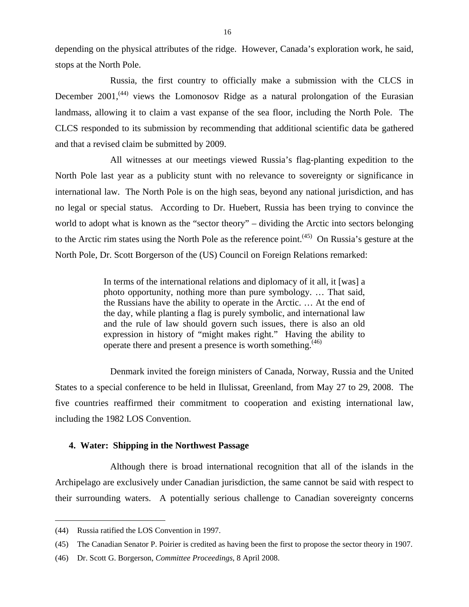depending on the physical attributes of the ridge. However, Canada's exploration work, he said, stops at the North Pole.

Russia, the first country to officially make a submission with the CLCS in December  $2001<sub>1</sub><sup>(44)</sup>$  views the Lomonosov Ridge as a natural prolongation of the Eurasian landmass, allowing it to claim a vast expanse of the sea floor, including the North Pole. The CLCS responded to its submission by recommending that additional scientific data be gathered and that a revised claim be submitted by 2009.

All witnesses at our meetings viewed Russia's flag-planting expedition to the North Pole last year as a publicity stunt with no relevance to sovereignty or significance in international law. The North Pole is on the high seas, beyond any national jurisdiction, and has no legal or special status. According to Dr. Huebert, Russia has been trying to convince the world to adopt what is known as the "sector theory" – dividing the Arctic into sectors belonging to the Arctic rim states using the North Pole as the reference point.<sup> $(45)$ </sup> On Russia's gesture at the North Pole, Dr. Scott Borgerson of the (US) Council on Foreign Relations remarked:

> In terms of the international relations and diplomacy of it all, it [was] a photo opportunity, nothing more than pure symbology. … That said, the Russians have the ability to operate in the Arctic. … At the end of the day, while planting a flag is purely symbolic, and international law and the rule of law should govern such issues, there is also an old expression in history of "might makes right." Having the ability to operate there and present a presence is worth something.<sup> $(46)$ </sup>

Denmark invited the foreign ministers of Canada, Norway, Russia and the United States to a special conference to be held in Ilulissat, Greenland, from May 27 to 29, 2008. The five countries reaffirmed their commitment to cooperation and existing international law, including the 1982 LOS Convention.

#### **4. Water: Shipping in the Northwest Passage**

Although there is broad international recognition that all of the islands in the Archipelago are exclusively under Canadian jurisdiction, the same cannot be said with respect to their surrounding waters. A potentially serious challenge to Canadian sovereignty concerns

l

<sup>(44)</sup> Russia ratified the LOS Convention in 1997.

<sup>(45)</sup> The Canadian Senator P. Poirier is credited as having been the first to propose the sector theory in 1907.

<sup>(46)</sup> Dr. Scott G. Borgerson, *Committee Proceedings*, 8 April 2008.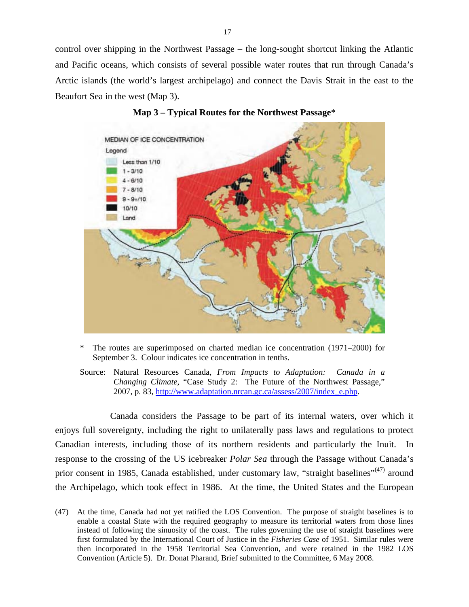control over shipping in the Northwest Passage – the long-sought shortcut linking the Atlantic and Pacific oceans, which consists of several possible water routes that run through Canada's Arctic islands (the world's largest archipelago) and connect the Davis Strait in the east to the Beaufort Sea in the west (Map 3).





\* The routes are superimposed on charted median ice concentration (1971–2000) for September 3. Colour indicates ice concentration in tenths.

Source: Natural Resources Canada, *From Impacts to Adaptation: Canada in a Changing Climate*, "Case Study 2: The Future of the Northwest Passage," 2007, p. 83, http://www.adaptation.nrcan.gc.ca/assess/2007/index\_e.php.

Canada considers the Passage to be part of its internal waters, over which it enjoys full sovereignty, including the right to unilaterally pass laws and regulations to protect Canadian interests, including those of its northern residents and particularly the Inuit. In response to the crossing of the US icebreaker *Polar Sea* through the Passage without Canada's prior consent in 1985, Canada established, under customary law, "straight baselines"<sup>(47)</sup> around the Archipelago, which took effect in 1986.At the time, the United States and the European

<sup>(47)</sup> At the time, Canada had not yet ratified the LOS Convention. The purpose of straight baselines is to enable a coastal State with the required geography to measure its territorial waters from those lines instead of following the sinuosity of the coast. The rules governing the use of straight baselines were first formulated by the International Court of Justice in the *Fisheries Case* of 1951. Similar rules were then incorporated in the 1958 Territorial Sea Convention, and were retained in the 1982 LOS Convention (Article 5). Dr. Donat Pharand, Brief submitted to the Committee, 6 May 2008.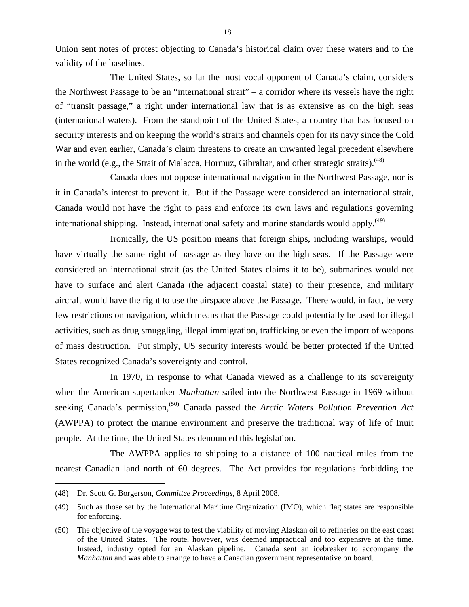Union sent notes of protest objecting to Canada's historical claim over these waters and to the validity of the baselines.

The United States, so far the most vocal opponent of Canada's claim, considers the Northwest Passage to be an "international strait" – a corridor where its vessels have the right of "transit passage," a right under international law that is as extensive as on the high seas (international waters). From the standpoint of the United States, a country that has focused on security interests and on keeping the world's straits and channels open for its navy since the Cold War and even earlier, Canada's claim threatens to create an unwanted legal precedent elsewhere in the world (e.g., the Strait of Malacca, Hormuz, Gibraltar, and other strategic straits).<sup> $(48)$ </sup>

Canada does not oppose international navigation in the Northwest Passage, nor is it in Canada's interest to prevent it. But if the Passage were considered an international strait, Canada would not have the right to pass and enforce its own laws and regulations governing international shipping. Instead, international safety and marine standards would apply.<sup>(49)</sup>

Ironically, the US position means that foreign ships, including warships, would have virtually the same right of passage as they have on the high seas. If the Passage were considered an international strait (as the United States claims it to be), submarines would not have to surface and alert Canada (the adjacent coastal state) to their presence, and military aircraft would have the right to use the airspace above the Passage. There would, in fact, be very few restrictions on navigation, which means that the Passage could potentially be used for illegal activities, such as drug smuggling, illegal immigration, trafficking or even the import of weapons of mass destruction. Put simply, US security interests would be better protected if the United States recognized Canada's sovereignty and control.

In 1970, in response to what Canada viewed as a challenge to its sovereignty when the American supertanker *Manhattan* sailed into the Northwest Passage in 1969 without seeking Canada's permission,<sup>(50)</sup> Canada passed the *Arctic Waters Pollution Prevention Act* (AWPPA) to protect the marine environment and preserve the traditional way of life of Inuit people. At the time, the United States denounced this legislation.

The AWPPA applies to shipping to a distance of 100 nautical miles from the nearest Canadian land north of 60 degrees. The Act provides for regulations forbidding the

<sup>(48)</sup> Dr. Scott G. Borgerson, *Committee Proceedings*, 8 April 2008.

<sup>(49)</sup> Such as those set by the International Maritime Organization (IMO), which flag states are responsible for enforcing.

<sup>(50)</sup> The objective of the voyage was to test the viability of moving Alaskan oil to refineries on the east coast of the United States. The route, however, was deemed impractical and too expensive at the time. Instead, industry opted for an Alaskan pipeline. Canada sent an icebreaker to accompany the *Manhattan* and was able to arrange to have a Canadian government representative on board.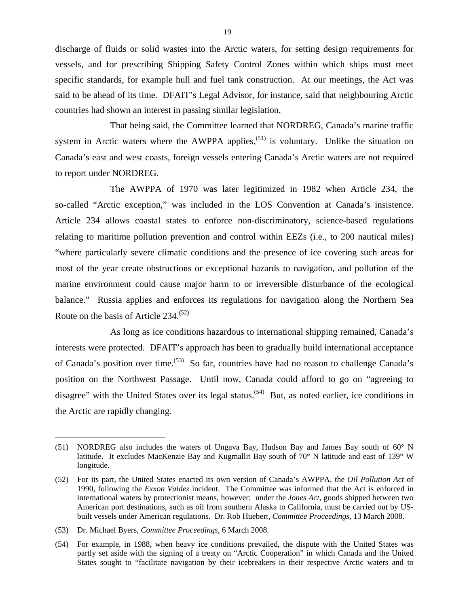discharge of fluids or solid wastes into the Arctic waters, for setting design requirements for vessels, and for prescribing Shipping Safety Control Zones within which ships must meet specific standards, for example hull and fuel tank construction. At our meetings, the Act was said to be ahead of its time. DFAIT's Legal Advisor, for instance, said that neighbouring Arctic countries had shown an interest in passing similar legislation.

That being said, the Committee learned that NORDREG, Canada's marine traffic system in Arctic waters where the AWPPA applies,<sup> $(51)$ </sup> is voluntary. Unlike the situation on Canada's east and west coasts, foreign vessels entering Canada's Arctic waters are not required to report under NORDREG.

The AWPPA of 1970 was later legitimized in 1982 when Article 234, the so-called "Arctic exception," was included in the LOS Convention at Canada's insistence. Article 234 allows coastal states to enforce non-discriminatory, science-based regulations relating to maritime pollution prevention and control within EEZs (i.e., to 200 nautical miles) "where particularly severe climatic conditions and the presence of ice covering such areas for most of the year create obstructions or exceptional hazards to navigation, and pollution of the marine environment could cause major harm to or irreversible disturbance of the ecological balance." Russia applies and enforces its regulations for navigation along the Northern Sea Route on the basis of Article 234.(52)

As long as ice conditions hazardous to international shipping remained, Canada's interests were protected. DFAIT's approach has been to gradually build international acceptance of Canada's position over time.<sup>(53)</sup> So far, countries have had no reason to challenge Canada's position on the Northwest Passage. Until now, Canada could afford to go on "agreeing to disagree" with the United States over its legal status.<sup> $(54)$ </sup> But, as noted earlier, ice conditions in the Arctic are rapidly changing.

<sup>(51)</sup> NORDREG also includes the waters of Ungava Bay, Hudson Bay and James Bay south of 60° N latitude. It excludes MacKenzie Bay and Kugmallit Bay south of 70° N latitude and east of 139° W longitude.

<sup>(52)</sup> For its part, the United States enacted its own version of Canada's AWPPA, the *Oil Pollution Act* of 1990, following the *Exxon Valdez* incident. The Committee was informed that the Act is enforced in international waters by protectionist means, however: under the *Jones Act*, goods shipped between two American port destinations, such as oil from southern Alaska to California, must be carried out by USbuilt vessels under American regulations. Dr. Rob Huebert, *Committee Proceedings*, 13 March 2008.

<sup>(53)</sup> Dr. Michael Byers, *Committee Proceedings*, 6 March 2008.

<sup>(54)</sup> For example, in 1988, when heavy ice conditions prevailed, the dispute with the United States was partly set aside with the signing of a treaty on "Arctic Cooperation" in which Canada and the United States sought to "facilitate navigation by their icebreakers in their respective Arctic waters and to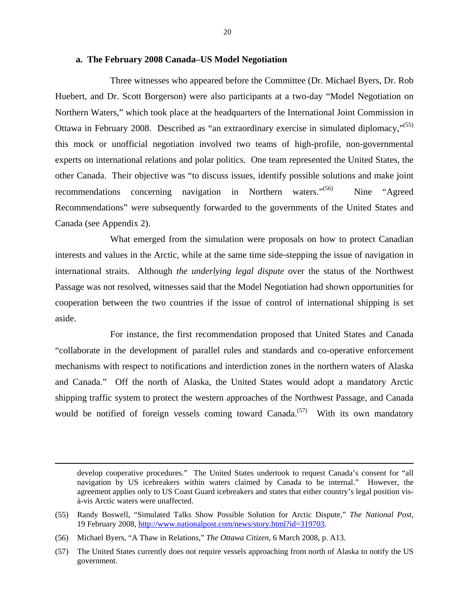#### **a. The February 2008 Canada–US Model Negotiation**

Three witnesses who appeared before the Committee (Dr. Michael Byers, Dr. Rob Huebert, and Dr. Scott Borgerson) were also participants at a two-day "Model Negotiation on Northern Waters," which took place at the headquarters of the International Joint Commission in Ottawa in February 2008. Described as "an extraordinary exercise in simulated diplomacy,"<sup>(55)</sup> this mock or unofficial negotiation involved two teams of high-profile, non-governmental experts on international relations and polar politics. One team represented the United States, the other Canada. Their objective was "to discuss issues, identify possible solutions and make joint recommendations concerning navigation in Northern waters."<sup>(56)</sup> Nine "Agreed Recommendations" were subsequently forwarded to the governments of the United States and Canada (see Appendix 2).

What emerged from the simulation were proposals on how to protect Canadian interests and values in the Arctic, while at the same time side-stepping the issue of navigation in international straits. Although *the underlying legal dispute* over the status of the Northwest Passage was not resolved, witnesses said that the Model Negotiation had shown opportunities for cooperation between the two countries if the issue of control of international shipping is set aside.

For instance, the first recommendation proposed that United States and Canada "collaborate in the development of parallel rules and standards and co-operative enforcement mechanisms with respect to notifications and interdiction zones in the northern waters of Alaska and Canada." Off the north of Alaska, the United States would adopt a mandatory Arctic shipping traffic system to protect the western approaches of the Northwest Passage, and Canada would be notified of foreign vessels coming toward Canada.<sup> $(57)$ </sup> With its own mandatory

develop cooperative procedures." The United States undertook to request Canada's consent for "all navigation by US icebreakers within waters claimed by Canada to be internal." However, the agreement applies only to US Coast Guard icebreakers and states that either country's legal position visà-vis Arctic waters were unaffected.

<sup>(55)</sup> Randy Boswell, "Simulated Talks Show Possible Solution for Arctic Dispute," *The National Post*, 19 February 2008, http://www.nationalpost.com/news/story.html?id=319703.

<sup>(56)</sup> Michael Byers, "A Thaw in Relations," *The Ottawa Citizen*, 6 March 2008, p. A13.

<sup>(57)</sup> The United States currently does not require vessels approaching from north of Alaska to notify the US government.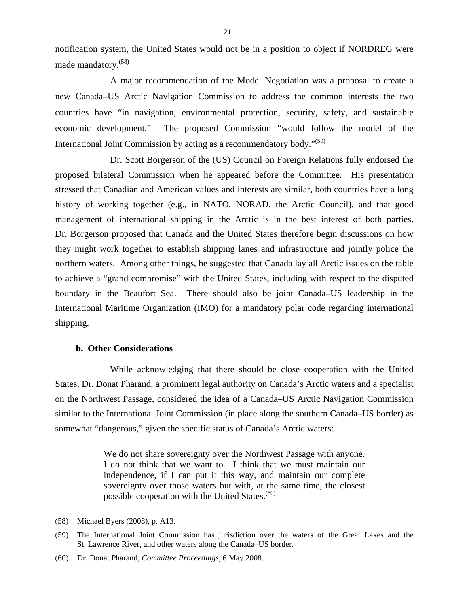notification system, the United States would not be in a position to object if NORDREG were made mandatory.(58)

A major recommendation of the Model Negotiation was a proposal to create a new Canada–US Arctic Navigation Commission to address the common interests the two countries have "in navigation, environmental protection, security, safety, and sustainable economic development." The proposed Commission "would follow the model of the International Joint Commission by acting as a recommendatory body."(59)

Dr. Scott Borgerson of the (US) Council on Foreign Relations fully endorsed the proposed bilateral Commission when he appeared before the Committee. His presentation stressed that Canadian and American values and interests are similar, both countries have a long history of working together (e.g., in NATO, NORAD, the Arctic Council), and that good management of international shipping in the Arctic is in the best interest of both parties. Dr. Borgerson proposed that Canada and the United States therefore begin discussions on how they might work together to establish shipping lanes and infrastructure and jointly police the northern waters. Among other things, he suggested that Canada lay all Arctic issues on the table to achieve a "grand compromise" with the United States, including with respect to the disputed boundary in the Beaufort Sea. There should also be joint Canada–US leadership in the International Maritime Organization (IMO) for a mandatory polar code regarding international shipping.

#### **b. Other Considerations**

While acknowledging that there should be close cooperation with the United States, Dr. Donat Pharand, a prominent legal authority on Canada's Arctic waters and a specialist on the Northwest Passage, considered the idea of a Canada–US Arctic Navigation Commission similar to the International Joint Commission (in place along the southern Canada–US border) as somewhat "dangerous," given the specific status of Canada's Arctic waters:

> We do not share sovereignty over the Northwest Passage with anyone. I do not think that we want to. I think that we must maintain our independence, if I can put it this way, and maintain our complete sovereignty over those waters but with, at the same time, the closest possible cooperation with the United States.<sup>(60)</sup>

<sup>(58)</sup> Michael Byers (2008), p. A13.

<sup>(59)</sup> The International Joint Commission has jurisdiction over the waters of the Great Lakes and the St. Lawrence River, and other waters along the Canada–US border.

<sup>(60)</sup> Dr. Donat Pharand, *Committee Proceedings*, 6 May 2008.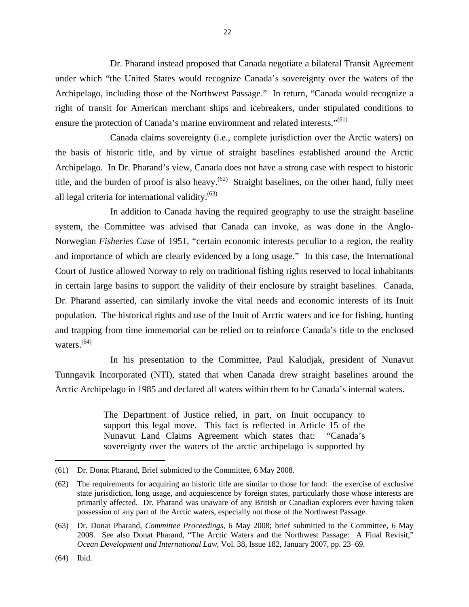Dr. Pharand instead proposed that Canada negotiate a bilateral Transit Agreement under which "the United States would recognize Canada's sovereignty over the waters of the Archipelago, including those of the Northwest Passage." In return, "Canada would recognize a right of transit for American merchant ships and icebreakers, under stipulated conditions to ensure the protection of Canada's marine environment and related interests."<sup>(61)</sup>

Canada claims sovereignty (i.e., complete jurisdiction over the Arctic waters) on the basis of historic title, and by virtue of straight baselines established around the Arctic Archipelago. In Dr. Pharand's view, Canada does not have a strong case with respect to historic title, and the burden of proof is also heavy.<sup> $(62)$ </sup> Straight baselines, on the other hand, fully meet all legal criteria for international validity. $(63)$ 

In addition to Canada having the required geography to use the straight baseline system, the Committee was advised that Canada can invoke, as was done in the Anglo-Norwegian *Fisheries Case* of 1951, "certain economic interests peculiar to a region, the reality and importance of which are clearly evidenced by a long usage." In this case, the International Court of Justice allowed Norway to rely on traditional fishing rights reserved to local inhabitants in certain large basins to support the validity of their enclosure by straight baselines. Canada, Dr. Pharand asserted, can similarly invoke the vital needs and economic interests of its Inuit population. The historical rights and use of the Inuit of Arctic waters and ice for fishing, hunting and trapping from time immemorial can be relied on to reinforce Canada's title to the enclosed waters<sup>(64)</sup>

In his presentation to the Committee, Paul Kaludjak, president of Nunavut Tunngavik Incorporated (NTI), stated that when Canada drew straight baselines around the Arctic Archipelago in 1985 and declared all waters within them to be Canada's internal waters.

> The Department of Justice relied, in part, on Inuit occupancy to support this legal move. This fact is reflected in Article 15 of the Nunavut Land Claims Agreement which states that: "Canada's sovereignty over the waters of the arctic archipelago is supported by

<sup>(61)</sup> Dr. Donat Pharand, Brief submitted to the Committee, 6 May 2008.

<sup>(62)</sup> The requirements for acquiring an historic title are similar to those for land: the exercise of exclusive state jurisdiction, long usage, and acquiescence by foreign states, particularly those whose interests are primarily affected. Dr. Pharand was unaware of any British or Canadian explorers ever having taken possession of any part of the Arctic waters, especially not those of the Northwest Passage.

<sup>(63)</sup> Dr. Donat Pharand, *Committee Proceedings*, 6 May 2008; brief submitted to the Committee, 6 May 2008. See also Donat Pharand, "The Arctic Waters and the Northwest Passage: A Final Revisit," *Ocean Development and International Law*, Vol. 38, Issue 182, January 2007, pp. 23–69.

<sup>(64)</sup> Ibid.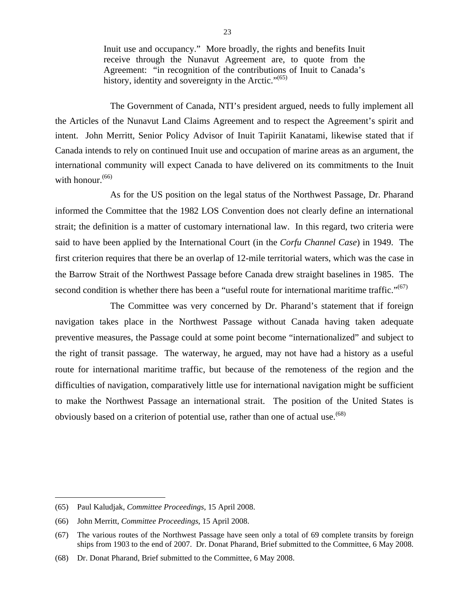Inuit use and occupancy." More broadly, the rights and benefits Inuit receive through the Nunavut Agreement are, to quote from the Agreement: "in recognition of the contributions of Inuit to Canada's history, identity and sovereignty in the Arctic." $(65)$ 

The Government of Canada, NTI's president argued, needs to fully implement all the Articles of the Nunavut Land Claims Agreement and to respect the Agreement's spirit and intent. John Merritt, Senior Policy Advisor of Inuit Tapiriit Kanatami, likewise stated that if Canada intends to rely on continued Inuit use and occupation of marine areas as an argument, the international community will expect Canada to have delivered on its commitments to the Inuit with honour. $(66)$ 

As for the US position on the legal status of the Northwest Passage, Dr. Pharand informed the Committee that the 1982 LOS Convention does not clearly define an international strait; the definition is a matter of customary international law. In this regard, two criteria were said to have been applied by the International Court (in the *Corfu Channel Case*) in 1949. The first criterion requires that there be an overlap of 12-mile territorial waters, which was the case in the Barrow Strait of the Northwest Passage before Canada drew straight baselines in 1985. The second condition is whether there has been a "useful route for international maritime traffic."<sup>(67)</sup>

The Committee was very concerned by Dr. Pharand's statement that if foreign navigation takes place in the Northwest Passage without Canada having taken adequate preventive measures, the Passage could at some point become "internationalized" and subject to the right of transit passage. The waterway, he argued, may not have had a history as a useful route for international maritime traffic, but because of the remoteness of the region and the difficulties of navigation, comparatively little use for international navigation might be sufficient to make the Northwest Passage an international strait. The position of the United States is obviously based on a criterion of potential use, rather than one of actual use.(68)

<sup>(65)</sup> Paul Kaludjak, *Committee Proceedings*, 15 April 2008.

<sup>(66)</sup> John Merritt, *Committee Proceedings*, 15 April 2008.

<sup>(67)</sup> The various routes of the Northwest Passage have seen only a total of 69 complete transits by foreign ships from 1903 to the end of 2007. Dr. Donat Pharand, Brief submitted to the Committee, 6 May 2008.

<sup>(68)</sup> Dr. Donat Pharand, Brief submitted to the Committee, 6 May 2008.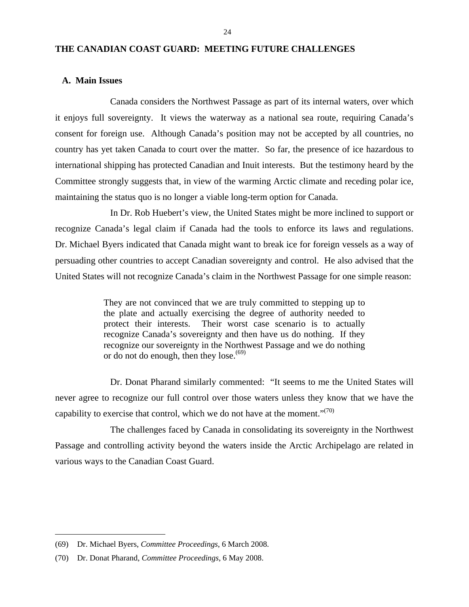### **THE CANADIAN COAST GUARD: MEETING FUTURE CHALLENGES**

#### **A. Main Issues**

Canada considers the Northwest Passage as part of its internal waters, over which it enjoys full sovereignty. It views the waterway as a national sea route, requiring Canada's consent for foreign use. Although Canada's position may not be accepted by all countries, no country has yet taken Canada to court over the matter. So far, the presence of ice hazardous to international shipping has protected Canadian and Inuit interests. But the testimony heard by the Committee strongly suggests that, in view of the warming Arctic climate and receding polar ice, maintaining the status quo is no longer a viable long-term option for Canada.

In Dr. Rob Huebert's view, the United States might be more inclined to support or recognize Canada's legal claim if Canada had the tools to enforce its laws and regulations. Dr. Michael Byers indicated that Canada might want to break ice for foreign vessels as a way of persuading other countries to accept Canadian sovereignty and control. He also advised that the United States will not recognize Canada's claim in the Northwest Passage for one simple reason:

> They are not convinced that we are truly committed to stepping up to the plate and actually exercising the degree of authority needed to protect their interests. Their worst case scenario is to actually recognize Canada's sovereignty and then have us do nothing. If they recognize our sovereignty in the Northwest Passage and we do nothing or do not do enough, then they lose. $(69)$

Dr. Donat Pharand similarly commented: "It seems to me the United States will never agree to recognize our full control over those waters unless they know that we have the capability to exercise that control, which we do not have at the moment."<sup>(70)</sup>

The challenges faced by Canada in consolidating its sovereignty in the Northwest Passage and controlling activity beyond the waters inside the Arctic Archipelago are related in various ways to the Canadian Coast Guard.

<sup>(69)</sup> Dr. Michael Byers, *Committee Proceedings*, 6 March 2008.

<sup>(70)</sup> Dr. Donat Pharand, *Committee Proceedings*, 6 May 2008.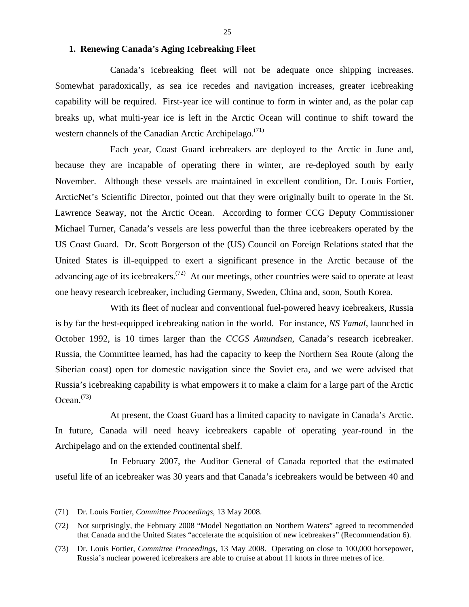### **1. Renewing Canada's Aging Icebreaking Fleet**

Canada's icebreaking fleet will not be adequate once shipping increases. Somewhat paradoxically, as sea ice recedes and navigation increases, greater icebreaking capability will be required. First-year ice will continue to form in winter and, as the polar cap breaks up, what multi-year ice is left in the Arctic Ocean will continue to shift toward the western channels of the Canadian Arctic Archipelago.<sup>(71)</sup>

Each year, Coast Guard icebreakers are deployed to the Arctic in June and, because they are incapable of operating there in winter, are re-deployed south by early November. Although these vessels are maintained in excellent condition, Dr. Louis Fortier, ArcticNet's Scientific Director, pointed out that they were originally built to operate in the St. Lawrence Seaway, not the Arctic Ocean. According to former CCG Deputy Commissioner Michael Turner, Canada's vessels are less powerful than the three icebreakers operated by the US Coast Guard. Dr. Scott Borgerson of the (US) Council on Foreign Relations stated that the United States is ill-equipped to exert a significant presence in the Arctic because of the advancing age of its icebreakers.<sup> $(72)$ </sup> At our meetings, other countries were said to operate at least one heavy research icebreaker, including Germany, Sweden, China and, soon, South Korea.

With its fleet of nuclear and conventional fuel-powered heavy icebreakers, Russia is by far the best-equipped icebreaking nation in the world. For instance, *NS Yamal*, launched in October 1992, is 10 times larger than the *CCGS Amundsen*, Canada's research icebreaker. Russia, the Committee learned, has had the capacity to keep the Northern Sea Route (along the Siberian coast) open for domestic navigation since the Soviet era, and we were advised that Russia's icebreaking capability is what empowers it to make a claim for a large part of the Arctic Ocean. $(73)$ 

At present, the Coast Guard has a limited capacity to navigate in Canada's Arctic. In future, Canada will need heavy icebreakers capable of operating year-round in the Archipelago and on the extended continental shelf.

In February 2007, the Auditor General of Canada reported that the estimated useful life of an icebreaker was 30 years and that Canada's icebreakers would be between 40 and

<sup>(71)</sup> Dr. Louis Fortier, *Committee Proceedings*, 13 May 2008.

<sup>(72)</sup> Not surprisingly, the February 2008 "Model Negotiation on Northern Waters" agreed to recommended that Canada and the United States "accelerate the acquisition of new icebreakers" (Recommendation 6).

<sup>(73)</sup> Dr. Louis Fortier, *Committee Proceedings*, 13 May 2008. Operating on close to 100,000 horsepower, Russia's nuclear powered icebreakers are able to cruise at about 11 knots in three metres of ice.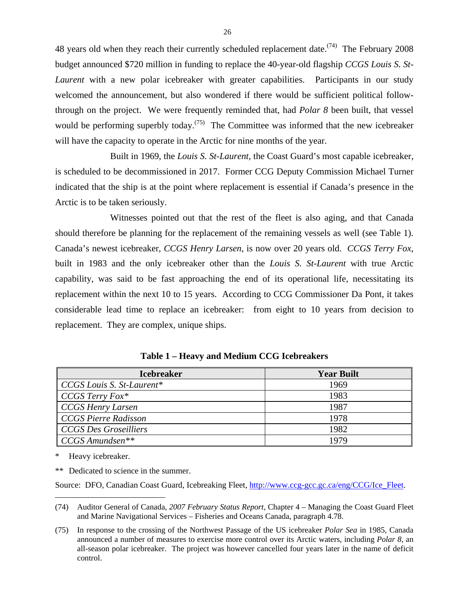48 years old when they reach their currently scheduled replacement date.<sup> $(74)$ </sup> The February 2008 budget announced \$720 million in funding to replace the 40-year-old flagship *CCGS Louis S. St-Laurent* with a new polar icebreaker with greater capabilities. Participants in our study welcomed the announcement, but also wondered if there would be sufficient political followthrough on the project. We were frequently reminded that, had *Polar 8* been built, that vessel would be performing superbly today.<sup> $(75)$ </sup> The Committee was informed that the new icebreaker will have the capacity to operate in the Arctic for nine months of the year.

Built in 1969, the *Louis S. St-Laurent*, the Coast Guard's most capable icebreaker, is scheduled to be decommissioned in 2017. Former CCG Deputy Commission Michael Turner indicated that the ship is at the point where replacement is essential if Canada's presence in the Arctic is to be taken seriously.

Witnesses pointed out that the rest of the fleet is also aging, and that Canada should therefore be planning for the replacement of the remaining vessels as well (see Table 1). Canada's newest icebreaker, *CCGS Henry Larsen*, is now over 20 years old. *CCGS Terry Fox*, built in 1983 and the only icebreaker other than the *Louis S. St-Laurent* with true Arctic capability, was said to be fast approaching the end of its operational life, necessitating its replacement within the next 10 to 15 years. According to CCG Commissioner Da Pont, it takes considerable lead time to replace an icebreaker: from eight to 10 years from decision to replacement. They are complex, unique ships.

| <b>Icebreaker</b>                                                   | <b>Year Built</b> |
|---------------------------------------------------------------------|-------------------|
| $\mathcal{C}\mathcal{C}\mathcal{C}\mathcal{S}$ Louis S. St-Laurent* | 1969              |
| $\mathsf{CCGS}$ Terry $Fox^*$                                       | 1983              |
| $\mathcal{C}$ CGS Henry Larsen                                      | 1987              |
| CCGS Pierre Radisson                                                | 1978              |
| CCGS Des Groseilliers                                               | 1982              |
| $\mathcal{C}CGS$ Amundsen**                                         | 1979              |

**Table 1 – Heavy and Medium CCG Icebreakers**

\* Heavy icebreaker.

 $\overline{a}$ 

\*\* Dedicated to science in the summer.

Source: DFO, Canadian Coast Guard, Icebreaking Fleet, http://www.ccg-gcc.gc.ca/eng/CCG/Ice\_Fleet.

<sup>(74)</sup> Auditor General of Canada, *2007 February Status Report*, Chapter 4 – Managing the Coast Guard Fleet and Marine Navigational Services – Fisheries and Oceans Canada, paragraph 4.78.

<sup>(75)</sup> In response to the crossing of the Northwest Passage of the US icebreaker *Polar Sea* in 1985, Canada announced a number of measures to exercise more control over its Arctic waters, including *Polar 8*, an all-season polar icebreaker. The project was however cancelled four years later in the name of deficit control.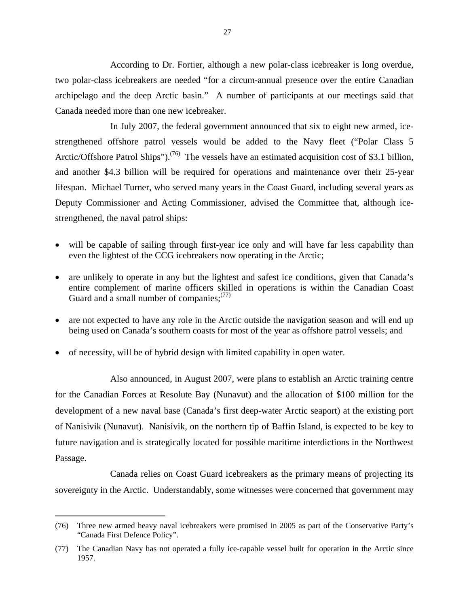According to Dr. Fortier, although a new polar-class icebreaker is long overdue, two polar-class icebreakers are needed "for a circum-annual presence over the entire Canadian archipelago and the deep Arctic basin." A number of participants at our meetings said that Canada needed more than one new icebreaker.

In July 2007, the federal government announced that six to eight new armed, icestrengthened offshore patrol vessels would be added to the Navy fleet ("Polar Class 5 Arctic/Offshore Patrol Ships").<sup>(76)</sup> The vessels have an estimated acquisition cost of \$3.1 billion, and another \$4.3 billion will be required for operations and maintenance over their 25-year lifespan. Michael Turner, who served many years in the Coast Guard, including several years as Deputy Commissioner and Acting Commissioner, advised the Committee that, although icestrengthened, the naval patrol ships:

- will be capable of sailing through first-year ice only and will have far less capability than even the lightest of the CCG icebreakers now operating in the Arctic;
- are unlikely to operate in any but the lightest and safest ice conditions, given that Canada's entire complement of marine officers skilled in operations is within the Canadian Coast Guard and a small number of companies;  $(77)$
- are not expected to have any role in the Arctic outside the navigation season and will end up being used on Canada's southern coasts for most of the year as offshore patrol vessels; and
- of necessity, will be of hybrid design with limited capability in open water.

 $\overline{a}$ 

Also announced, in August 2007, were plans to establish an Arctic training centre for the Canadian Forces at Resolute Bay (Nunavut) and the allocation of \$100 million for the development of a new naval base (Canada's first deep-water Arctic seaport) at the existing port of Nanisivik (Nunavut). Nanisivik, on the northern tip of Baffin Island, is expected to be key to future navigation and is strategically located for possible maritime interdictions in the Northwest Passage.

Canada relies on Coast Guard icebreakers as the primary means of projecting its sovereignty in the Arctic. Understandably, some witnesses were concerned that government may

<sup>(76)</sup> Three new armed heavy naval icebreakers were promised in 2005 as part of the Conservative Party's "Canada First Defence Policy".

<sup>(77)</sup> The Canadian Navy has not operated a fully ice-capable vessel built for operation in the Arctic since 1957.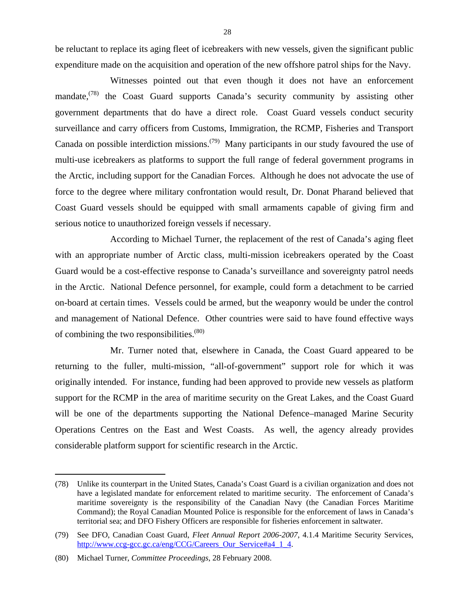be reluctant to replace its aging fleet of icebreakers with new vessels, given the significant public expenditure made on the acquisition and operation of the new offshore patrol ships for the Navy.

Witnesses pointed out that even though it does not have an enforcement mandate,<sup> $(78)$ </sup> the Coast Guard supports Canada's security community by assisting other government departments that do have a direct role. Coast Guard vessels conduct security surveillance and carry officers from Customs, Immigration, the RCMP, Fisheries and Transport Canada on possible interdiction missions.<sup> $(79)$ </sup> Many participants in our study favoured the use of multi-use icebreakers as platforms to support the full range of federal government programs in the Arctic, including support for the Canadian Forces. Although he does not advocate the use of force to the degree where military confrontation would result, Dr. Donat Pharand believed that Coast Guard vessels should be equipped with small armaments capable of giving firm and serious notice to unauthorized foreign vessels if necessary.

According to Michael Turner, the replacement of the rest of Canada's aging fleet with an appropriate number of Arctic class, multi-mission icebreakers operated by the Coast Guard would be a cost-effective response to Canada's surveillance and sovereignty patrol needs in the Arctic. National Defence personnel, for example, could form a detachment to be carried on-board at certain times. Vessels could be armed, but the weaponry would be under the control and management of National Defence. Other countries were said to have found effective ways of combining the two responsibilities.(80)

Mr. Turner noted that, elsewhere in Canada, the Coast Guard appeared to be returning to the fuller, multi-mission, "all-of-government" support role for which it was originally intended. For instance, funding had been approved to provide new vessels as platform support for the RCMP in the area of maritime security on the Great Lakes, and the Coast Guard will be one of the departments supporting the National Defence–managed Marine Security Operations Centres on the East and West Coasts. As well, the agency already provides considerable platform support for scientific research in the Arctic.

<sup>(78)</sup> Unlike its counterpart in the United States, Canada's Coast Guard is a civilian organization and does not have a legislated mandate for enforcement related to maritime security. The enforcement of Canada's maritime sovereignty is the responsibility of the Canadian Navy (the Canadian Forces Maritime Command); the Royal Canadian Mounted Police is responsible for the enforcement of laws in Canada's territorial sea; and DFO Fishery Officers are responsible for fisheries enforcement in saltwater.

<sup>(79)</sup> See DFO, Canadian Coast Guard, *Fleet Annual Report 2006-2007*, 4.1.4 Maritime Security Services, http://www.ccg-gcc.gc.ca/eng/CCG/Careers\_Our\_Service#a4\_1\_4.

<sup>(80)</sup> Michael Turner, *Committee Proceedings*, 28 February 2008.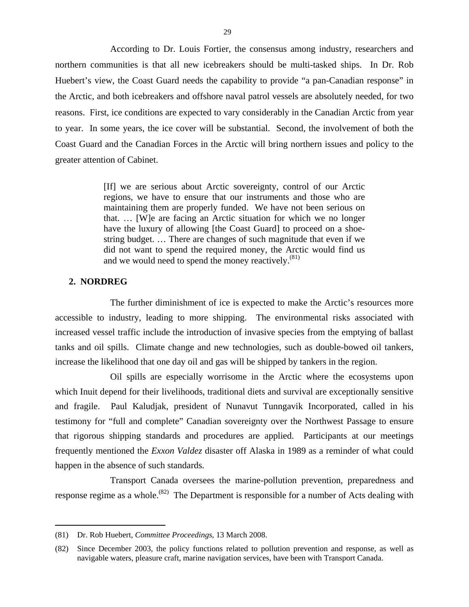According to Dr. Louis Fortier, the consensus among industry, researchers and northern communities is that all new icebreakers should be multi-tasked ships. In Dr. Rob Huebert's view, the Coast Guard needs the capability to provide "a pan-Canadian response" in the Arctic, and both icebreakers and offshore naval patrol vessels are absolutely needed, for two reasons. First, ice conditions are expected to vary considerably in the Canadian Arctic from year to year. In some years, the ice cover will be substantial. Second, the involvement of both the Coast Guard and the Canadian Forces in the Arctic will bring northern issues and policy to the greater attention of Cabinet.

> [If] we are serious about Arctic sovereignty, control of our Arctic regions, we have to ensure that our instruments and those who are maintaining them are properly funded. We have not been serious on that. … [W]e are facing an Arctic situation for which we no longer have the luxury of allowing [the Coast Guard] to proceed on a shoestring budget. … There are changes of such magnitude that even if we did not want to spend the required money, the Arctic would find us and we would need to spend the money reactively. $<sup>(81)</sup>$ </sup>

#### **2. NORDREG**

l

The further diminishment of ice is expected to make the Arctic's resources more accessible to industry, leading to more shipping. The environmental risks associated with increased vessel traffic include the introduction of invasive species from the emptying of ballast tanks and oil spills. Climate change and new technologies, such as double-bowed oil tankers, increase the likelihood that one day oil and gas will be shipped by tankers in the region.

Oil spills are especially worrisome in the Arctic where the ecosystems upon which Inuit depend for their livelihoods, traditional diets and survival are exceptionally sensitive and fragile. Paul Kaludjak, president of Nunavut Tunngavik Incorporated, called in his testimony for "full and complete" Canadian sovereignty over the Northwest Passage to ensure that rigorous shipping standards and procedures are applied. Participants at our meetings frequently mentioned the *Exxon Valdez* disaster off Alaska in 1989 as a reminder of what could happen in the absence of such standards.

Transport Canada oversees the marine-pollution prevention, preparedness and response regime as a whole.<sup>(82)</sup> The Department is responsible for a number of Acts dealing with

<sup>(81)</sup> Dr. Rob Huebert, *Committee Proceedings*, 13 March 2008.

<sup>(82)</sup> Since December 2003, the policy functions related to pollution prevention and response, as well as navigable waters, pleasure craft, marine navigation services, have been with Transport Canada.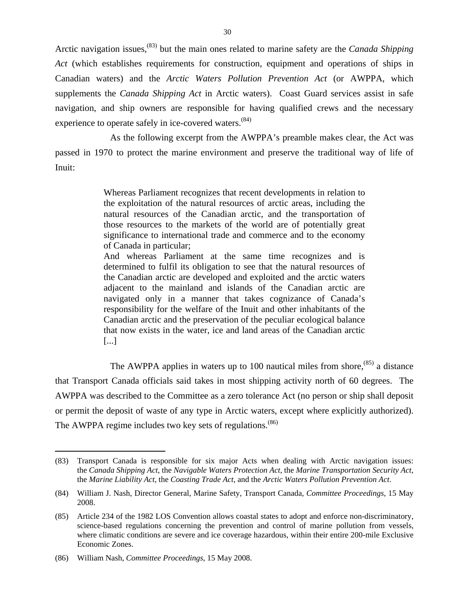Arctic navigation issues,(83) but the main ones related to marine safety are the *Canada Shipping Act* (which establishes requirements for construction, equipment and operations of ships in Canadian waters) and the *Arctic Waters Pollution Prevention Act* (or AWPPA, which supplements the *Canada Shipping Act* in Arctic waters). Coast Guard services assist in safe navigation, and ship owners are responsible for having qualified crews and the necessary experience to operate safely in ice-covered waters.<sup>(84)</sup>

As the following excerpt from the AWPPA's preamble makes clear, the Act was passed in 1970 to protect the marine environment and preserve the traditional way of life of Inuit:

> Whereas Parliament recognizes that recent developments in relation to the exploitation of the natural resources of arctic areas, including the natural resources of the Canadian arctic, and the transportation of those resources to the markets of the world are of potentially great significance to international trade and commerce and to the economy of Canada in particular;

> And whereas Parliament at the same time recognizes and is determined to fulfil its obligation to see that the natural resources of the Canadian arctic are developed and exploited and the arctic waters adjacent to the mainland and islands of the Canadian arctic are navigated only in a manner that takes cognizance of Canada's responsibility for the welfare of the Inuit and other inhabitants of the Canadian arctic and the preservation of the peculiar ecological balance that now exists in the water, ice and land areas of the Canadian arctic [...]

The AWPPA applies in waters up to 100 nautical miles from shore,  $(85)$  a distance that Transport Canada officials said takes in most shipping activity north of 60 degrees. The AWPPA was described to the Committee as a zero tolerance Act (no person or ship shall deposit or permit the deposit of waste of any type in Arctic waters, except where explicitly authorized). The AWPPA regime includes two key sets of regulations.  $(86)$ 

<sup>(83)</sup> Transport Canada is responsible for six major Acts when dealing with Arctic navigation issues: the *Canada Shipping Act*, the *Navigable Waters Protection Act*, the *Marine Transportation Security Act*, the *Marine Liability Act*, the *Coasting Trade Act*, and the *Arctic Waters Pollution Prevention Act*.

<sup>(84)</sup> William J. Nash, Director General, Marine Safety, Transport Canada, *Committee Proceedings*, 15 May 2008.

<sup>(85)</sup> Article 234 of the 1982 LOS Convention allows coastal states to adopt and enforce non-discriminatory, science-based regulations concerning the prevention and control of marine pollution from vessels, where climatic conditions are severe and ice coverage hazardous, within their entire 200-mile Exclusive Economic Zones.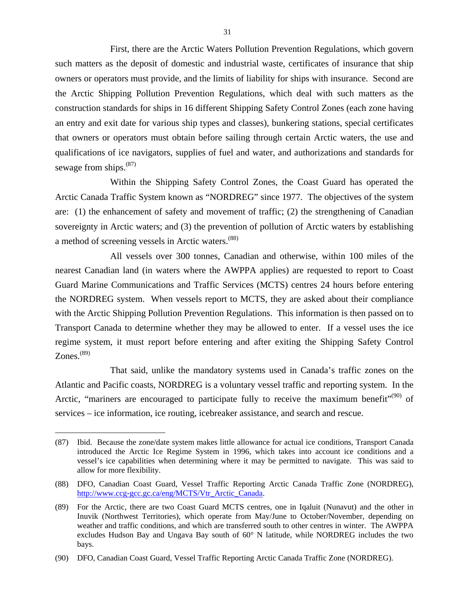First, there are the Arctic Waters Pollution Prevention Regulations, which govern such matters as the deposit of domestic and industrial waste, certificates of insurance that ship owners or operators must provide, and the limits of liability for ships with insurance. Second are the Arctic Shipping Pollution Prevention Regulations, which deal with such matters as the construction standards for ships in 16 different Shipping Safety Control Zones (each zone having an entry and exit date for various ship types and classes), bunkering stations, special certificates that owners or operators must obtain before sailing through certain Arctic waters, the use and qualifications of ice navigators, supplies of fuel and water, and authorizations and standards for sewage from ships. $(87)$ 

Within the Shipping Safety Control Zones, the Coast Guard has operated the Arctic Canada Traffic System known as "NORDREG" since 1977. The objectives of the system are: (1) the enhancement of safety and movement of traffic; (2) the strengthening of Canadian sovereignty in Arctic waters; and (3) the prevention of pollution of Arctic waters by establishing a method of screening vessels in Arctic waters.(88)

All vessels over 300 tonnes, Canadian and otherwise, within 100 miles of the nearest Canadian land (in waters where the AWPPA applies) are requested to report to Coast Guard Marine Communications and Traffic Services (MCTS) centres 24 hours before entering the NORDREG system. When vessels report to MCTS, they are asked about their compliance with the Arctic Shipping Pollution Prevention Regulations. This information is then passed on to Transport Canada to determine whether they may be allowed to enter. If a vessel uses the ice regime system, it must report before entering and after exiting the Shipping Safety Control  $Zones.$ <sup>(89)</sup>

That said, unlike the mandatory systems used in Canada's traffic zones on the Atlantic and Pacific coasts, NORDREG is a voluntary vessel traffic and reporting system. In the Arctic, "mariners are encouraged to participate fully to receive the maximum benefit"<sup>(90)</sup> of services – ice information, ice routing, icebreaker assistance, and search and rescue.

<sup>(87)</sup> Ibid. Because the zone/date system makes little allowance for actual ice conditions, Transport Canada introduced the Arctic Ice Regime System in 1996, which takes into account ice conditions and a vessel's ice capabilities when determining where it may be permitted to navigate. This was said to allow for more flexibility.

<sup>(88)</sup> DFO, Canadian Coast Guard, Vessel Traffic Reporting Arctic Canada Traffic Zone (NORDREG), http://www.ccg-gcc.gc.ca/eng/MCTS/Vtr\_Arctic\_Canada.

<sup>(89)</sup> For the Arctic, there are two Coast Guard MCTS centres, one in Iqaluit (Nunavut) and the other in Inuvik (Northwest Territories), which operate from May/June to October/November, depending on weather and traffic conditions, and which are transferred south to other centres in winter. The AWPPA excludes Hudson Bay and Ungava Bay south of 60° N latitude, while NORDREG includes the two bays.

<sup>(90)</sup> DFO, Canadian Coast Guard, Vessel Traffic Reporting Arctic Canada Traffic Zone (NORDREG).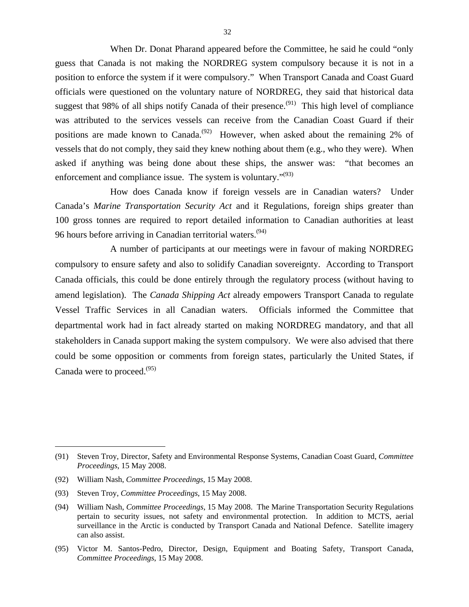When Dr. Donat Pharand appeared before the Committee, he said he could "only guess that Canada is not making the NORDREG system compulsory because it is not in a position to enforce the system if it were compulsory." When Transport Canada and Coast Guard officials were questioned on the voluntary nature of NORDREG, they said that historical data suggest that 98% of all ships notify Canada of their presence.<sup> $(91)$ </sup> This high level of compliance was attributed to the services vessels can receive from the Canadian Coast Guard if their positions are made known to Canada.<sup>(92)</sup> However, when asked about the remaining 2% of vessels that do not comply, they said they knew nothing about them (e.g., who they were). When asked if anything was being done about these ships, the answer was: "that becomes an enforcement and compliance issue. The system is voluntary."<sup>(93)</sup>

How does Canada know if foreign vessels are in Canadian waters? Under Canada's *Marine Transportation Security Act* and it Regulations, foreign ships greater than 100 gross tonnes are required to report detailed information to Canadian authorities at least 96 hours before arriving in Canadian territorial waters.<sup>(94)</sup>

A number of participants at our meetings were in favour of making NORDREG compulsory to ensure safety and also to solidify Canadian sovereignty. According to Transport Canada officials, this could be done entirely through the regulatory process (without having to amend legislation). The *Canada Shipping Act* already empowers Transport Canada to regulate Vessel Traffic Services in all Canadian waters. Officials informed the Committee that departmental work had in fact already started on making NORDREG mandatory, and that all stakeholders in Canada support making the system compulsory. We were also advised that there could be some opposition or comments from foreign states, particularly the United States, if Canada were to proceed. $^{(95)}$ 

<sup>(91)</sup> Steven Troy, Director, Safety and Environmental Response Systems, Canadian Coast Guard, *Committee Proceedings*, 15 May 2008.

<sup>(92)</sup> William Nash, *Committee Proceedings*, 15 May 2008.

<sup>(93)</sup> Steven Troy, *Committee Proceedings*, 15 May 2008.

<sup>(94)</sup> William Nash, *Committee Proceedings*, 15 May 2008. The Marine Transportation Security Regulations pertain to security issues, not safety and environmental protection. In addition to MCTS, aerial surveillance in the Arctic is conducted by Transport Canada and National Defence. Satellite imagery can also assist.

<sup>(95)</sup> Victor M. Santos-Pedro, Director, Design, Equipment and Boating Safety, Transport Canada, *Committee Proceedings*, 15 May 2008.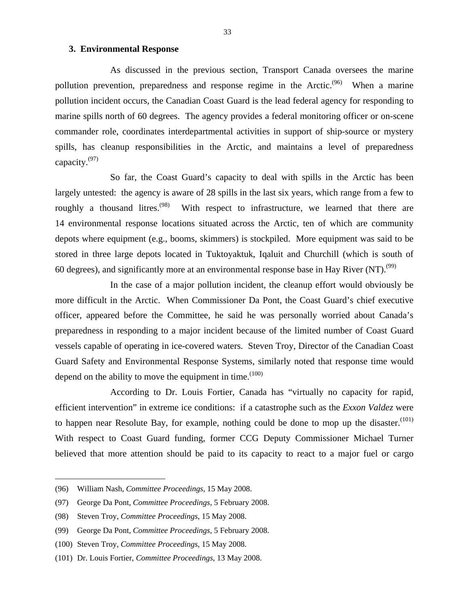#### **3. Environmental Response**

As discussed in the previous section, Transport Canada oversees the marine pollution prevention, preparedness and response regime in the Arctic.<sup>(96)</sup> When a marine pollution incident occurs, the Canadian Coast Guard is the lead federal agency for responding to marine spills north of 60 degrees. The agency provides a federal monitoring officer or on-scene commander role, coordinates interdepartmental activities in support of ship-source or mystery spills, has cleanup responsibilities in the Arctic, and maintains a level of preparedness capacity. $^{(97)}$ 

So far, the Coast Guard's capacity to deal with spills in the Arctic has been largely untested: the agency is aware of 28 spills in the last six years, which range from a few to roughly a thousand litres.<sup>(98)</sup> With respect to infrastructure, we learned that there are 14 environmental response locations situated across the Arctic, ten of which are community depots where equipment (e.g., booms, skimmers) is stockpiled. More equipment was said to be stored in three large depots located in Tuktoyaktuk, Iqaluit and Churchill (which is south of 60 degrees), and significantly more at an environmental response base in Hay River  $(NT)$ .<sup>(99)</sup>

In the case of a major pollution incident, the cleanup effort would obviously be more difficult in the Arctic. When Commissioner Da Pont, the Coast Guard's chief executive officer, appeared before the Committee, he said he was personally worried about Canada's preparedness in responding to a major incident because of the limited number of Coast Guard vessels capable of operating in ice-covered waters. Steven Troy, Director of the Canadian Coast Guard Safety and Environmental Response Systems, similarly noted that response time would depend on the ability to move the equipment in time. $(100)$ 

According to Dr. Louis Fortier, Canada has "virtually no capacity for rapid, efficient intervention" in extreme ice conditions: if a catastrophe such as the *Exxon Valdez* were to happen near Resolute Bay, for example, nothing could be done to mop up the disaster.<sup>(101)</sup> With respect to Coast Guard funding, former CCG Deputy Commissioner Michael Turner believed that more attention should be paid to its capacity to react to a major fuel or cargo

 $\overline{a}$ 

(97) George Da Pont, *Committee Proceedings*, 5 February 2008.

<sup>(96)</sup> William Nash, *Committee Proceedings*, 15 May 2008.

<sup>(98)</sup> Steven Troy, *Committee Proceedings*, 15 May 2008.

<sup>(99)</sup> George Da Pont, *Committee Proceedings*, 5 February 2008.

<sup>(100)</sup> Steven Troy, *Committee Proceedings*, 15 May 2008.

<sup>(101)</sup> Dr. Louis Fortier, *Committee Proceedings*, 13 May 2008.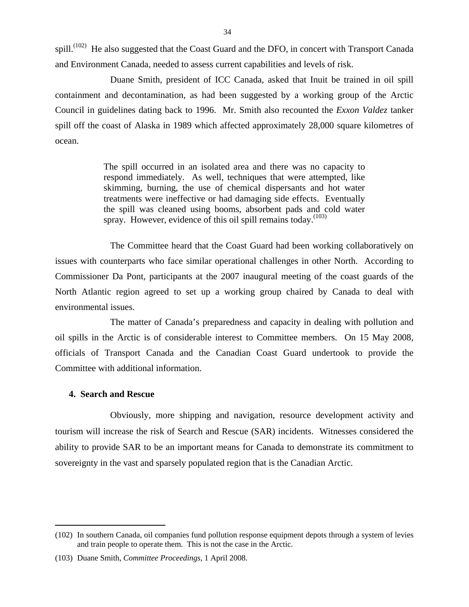spill.<sup> $(102)$ </sup> He also suggested that the Coast Guard and the DFO, in concert with Transport Canada and Environment Canada, needed to assess current capabilities and levels of risk.

Duane Smith, president of ICC Canada, asked that Inuit be trained in oil spill containment and decontamination, as had been suggested by a working group of the Arctic Council in guidelines dating back to 1996. Mr. Smith also recounted the *Exxon Valdez* tanker spill off the coast of Alaska in 1989 which affected approximately 28,000 square kilometres of ocean.

> The spill occurred in an isolated area and there was no capacity to respond immediately. As well, techniques that were attempted, like skimming, burning, the use of chemical dispersants and hot water treatments were ineffective or had damaging side effects. Eventually the spill was cleaned using booms, absorbent pads and cold water spray. However, evidence of this oil spill remains today.<sup>(103)</sup>

The Committee heard that the Coast Guard had been working collaboratively on issues with counterparts who face similar operational challenges in other North. According to Commissioner Da Pont, participants at the 2007 inaugural meeting of the coast guards of the North Atlantic region agreed to set up a working group chaired by Canada to deal with environmental issues.

The matter of Canada's preparedness and capacity in dealing with pollution and oil spills in the Arctic is of considerable interest to Committee members. On 15 May 2008, officials of Transport Canada and the Canadian Coast Guard undertook to provide the Committee with additional information.

#### **4. Search and Rescue**

l

Obviously, more shipping and navigation, resource development activity and tourism will increase the risk of Search and Rescue (SAR) incidents. Witnesses considered the ability to provide SAR to be an important means for Canada to demonstrate its commitment to sovereignty in the vast and sparsely populated region that is the Canadian Arctic.

<sup>(102)</sup> In southern Canada, oil companies fund pollution response equipment depots through a system of levies and train people to operate them. This is not the case in the Arctic.

<sup>(103)</sup> Duane Smith, *Committee Proceedings*, 1 April 2008.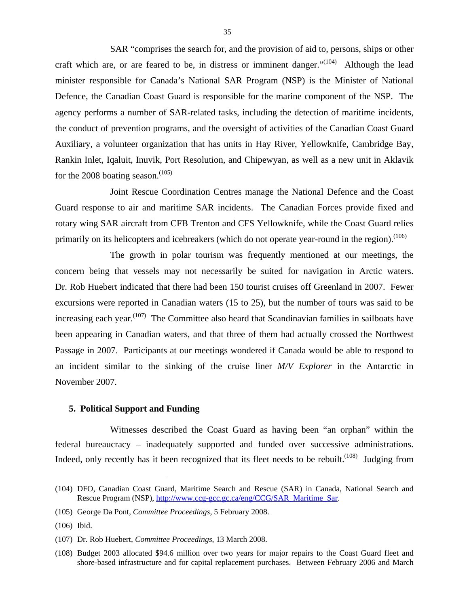SAR "comprises the search for, and the provision of aid to, persons, ships or other craft which are, or are feared to be, in distress or imminent danger."<sup>(104)</sup> Although the lead minister responsible for Canada's National SAR Program (NSP) is the Minister of National Defence, the Canadian Coast Guard is responsible for the marine component of the NSP. The agency performs a number of SAR-related tasks, including the detection of maritime incidents, the conduct of prevention programs, and the oversight of activities of the Canadian Coast Guard Auxiliary, a volunteer organization that has units in Hay River, Yellowknife, Cambridge Bay, Rankin Inlet, Iqaluit, Inuvik, Port Resolution, and Chipewyan, as well as a new unit in Aklavik for the 2008 boating season. $(105)$ 

Joint Rescue Coordination Centres manage the National Defence and the Coast Guard response to air and maritime SAR incidents. The Canadian Forces provide fixed and rotary wing SAR aircraft from CFB Trenton and CFS Yellowknife, while the Coast Guard relies primarily on its helicopters and icebreakers (which do not operate year-round in the region).<sup>(106)</sup>

The growth in polar tourism was frequently mentioned at our meetings, the concern being that vessels may not necessarily be suited for navigation in Arctic waters. Dr. Rob Huebert indicated that there had been 150 tourist cruises off Greenland in 2007. Fewer excursions were reported in Canadian waters (15 to 25), but the number of tours was said to be increasing each year.<sup> $(107)$ </sup> The Committee also heard that Scandinavian families in sailboats have been appearing in Canadian waters, and that three of them had actually crossed the Northwest Passage in 2007. Participants at our meetings wondered if Canada would be able to respond to an incident similar to the sinking of the cruise liner *M/V Explorer* in the Antarctic in November 2007.

#### **5. Political Support and Funding**

Witnesses described the Coast Guard as having been "an orphan" within the federal bureaucracy – inadequately supported and funded over successive administrations. Indeed, only recently has it been recognized that its fleet needs to be rebuilt.<sup> $(108)$ </sup> Judging from

<sup>(104)</sup> DFO, Canadian Coast Guard, Maritime Search and Rescue (SAR) in Canada, National Search and Rescue Program (NSP), http://www.ccg-gcc.gc.ca/eng/CCG/SAR\_Maritime\_Sar.

<sup>(105)</sup> George Da Pont, *Committee Proceedings*, 5 February 2008.

<sup>(106)</sup> Ibid.

<sup>(107)</sup> Dr. Rob Huebert, *Committee Proceedings*, 13 March 2008.

<sup>(108)</sup> Budget 2003 allocated \$94.6 million over two years for major repairs to the Coast Guard fleet and shore-based infrastructure and for capital replacement purchases. Between February 2006 and March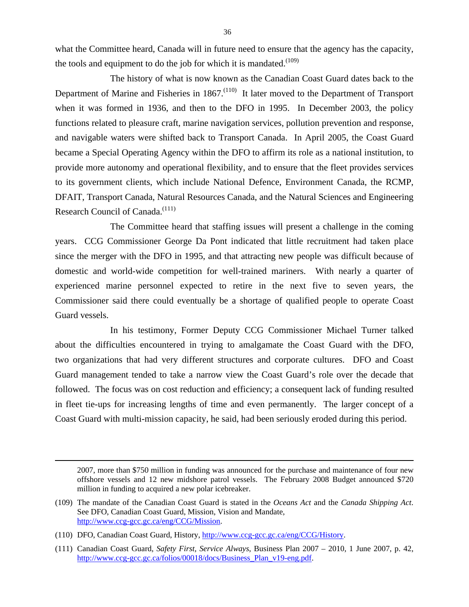what the Committee heard, Canada will in future need to ensure that the agency has the capacity, the tools and equipment to do the job for which it is mandated.<sup> $(109)$ </sup>

The history of what is now known as the Canadian Coast Guard dates back to the Department of Marine and Fisheries in  $1867$ .<sup> $(110)$ </sup> It later moved to the Department of Transport when it was formed in 1936, and then to the DFO in 1995. In December 2003, the policy functions related to pleasure craft, marine navigation services, pollution prevention and response, and navigable waters were shifted back to Transport Canada. In April 2005, the Coast Guard became a Special Operating Agency within the DFO to affirm its role as a national institution, to provide more autonomy and operational flexibility, and to ensure that the fleet provides services to its government clients, which include National Defence, Environment Canada, the RCMP, DFAIT, Transport Canada, Natural Resources Canada, and the Natural Sciences and Engineering Research Council of Canada.<sup>(111)</sup>

The Committee heard that staffing issues will present a challenge in the coming years. CCG Commissioner George Da Pont indicated that little recruitment had taken place since the merger with the DFO in 1995, and that attracting new people was difficult because of domestic and world-wide competition for well-trained mariners. With nearly a quarter of experienced marine personnel expected to retire in the next five to seven years, the Commissioner said there could eventually be a shortage of qualified people to operate Coast Guard vessels.

In his testimony, Former Deputy CCG Commissioner Michael Turner talked about the difficulties encountered in trying to amalgamate the Coast Guard with the DFO, two organizations that had very different structures and corporate cultures. DFO and Coast Guard management tended to take a narrow view the Coast Guard's role over the decade that followed. The focus was on cost reduction and efficiency; a consequent lack of funding resulted in fleet tie-ups for increasing lengths of time and even permanently. The larger concept of a Coast Guard with multi-mission capacity, he said, had been seriously eroded during this period.

 <sup>2007,</sup> more than \$750 million in funding was announced for the purchase and maintenance of four new offshore vessels and 12 new midshore patrol vessels. The February 2008 Budget announced \$720 million in funding to acquired a new polar icebreaker.

<sup>(109)</sup> The mandate of the Canadian Coast Guard is stated in the *Oceans Act* and the *Canada Shipping Act*. See DFO, Canadian Coast Guard, Mission, Vision and Mandate, http://www.ccg-gcc.gc.ca/eng/CCG/Mission.

<sup>(110)</sup> DFO, Canadian Coast Guard, History, http://www.ccg-gcc.gc.ca/eng/CCG/History.

<sup>(111)</sup> Canadian Coast Guard, *Safety First, Service Always*, Business Plan 2007 – 2010, 1 June 2007, p. 42, http://www.ccg-gcc.gc.ca/folios/00018/docs/Business\_Plan\_v19-eng.pdf.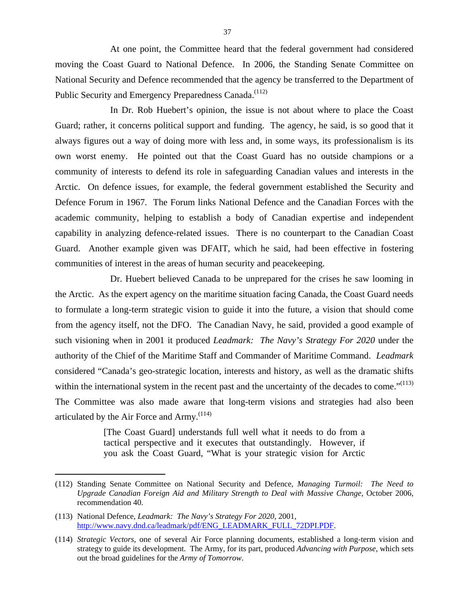At one point, the Committee heard that the federal government had considered moving the Coast Guard to National Defence. In 2006, the Standing Senate Committee on National Security and Defence recommended that the agency be transferred to the Department of Public Security and Emergency Preparedness Canada.<sup>(112)</sup>

In Dr. Rob Huebert's opinion, the issue is not about where to place the Coast Guard; rather, it concerns political support and funding. The agency, he said, is so good that it always figures out a way of doing more with less and, in some ways, its professionalism is its own worst enemy. He pointed out that the Coast Guard has no outside champions or a community of interests to defend its role in safeguarding Canadian values and interests in the Arctic. On defence issues, for example, the federal government established the Security and Defence Forum in 1967. The Forum links National Defence and the Canadian Forces with the academic community, helping to establish a body of Canadian expertise and independent capability in analyzing defence-related issues. There is no counterpart to the Canadian Coast Guard. Another example given was DFAIT, which he said, had been effective in fostering communities of interest in the areas of human security and peacekeeping.

Dr. Huebert believed Canada to be unprepared for the crises he saw looming in the Arctic. As the expert agency on the maritime situation facing Canada, the Coast Guard needs to formulate a long-term strategic vision to guide it into the future, a vision that should come from the agency itself, not the DFO. The Canadian Navy, he said, provided a good example of such visioning when in 2001 it produced *Leadmark: The Navy's Strategy For 2020* under the authority of the Chief of the Maritime Staff and Commander of Maritime Command. *Leadmark* considered "Canada's geo-strategic location, interests and history, as well as the dramatic shifts within the international system in the recent past and the uncertainty of the decades to come."<sup>(113)</sup> The Committee was also made aware that long-term visions and strategies had also been articulated by the Air Force and Army.(114)

> [The Coast Guard] understands full well what it needs to do from a tactical perspective and it executes that outstandingly. However, if you ask the Coast Guard, "What is your strategic vision for Arctic

<sup>(112)</sup> Standing Senate Committee on National Security and Defence, *Managing Turmoil: The Need to Upgrade Canadian Foreign Aid and Military Strength to Deal with Massive Change*, October 2006, recommendation 40.

<sup>(113)</sup> National Defence, *Leadmark: The Navy's Strategy For 2020*, 2001, http://www.navy.dnd.ca/leadmark/pdf/ENG\_LEADMARK\_FULL\_72DPI.PDF.

<sup>(114)</sup> *Strategic Vectors*, one of several Air Force planning documents, established a long-term vision and strategy to guide its development. The Army, for its part, produced *Advancing with Purpose*, which sets out the broad guidelines for the *Army of Tomorrow*.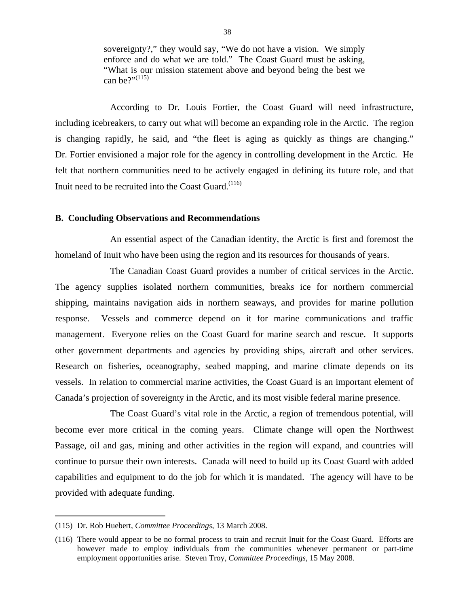sovereignty?," they would say, "We do not have a vision. We simply enforce and do what we are told." The Coast Guard must be asking, "What is our mission statement above and beyond being the best we can be?"<sup>(115)</sup>

According to Dr. Louis Fortier, the Coast Guard will need infrastructure, including icebreakers, to carry out what will become an expanding role in the Arctic. The region is changing rapidly, he said, and "the fleet is aging as quickly as things are changing." Dr. Fortier envisioned a major role for the agency in controlling development in the Arctic. He felt that northern communities need to be actively engaged in defining its future role, and that Inuit need to be recruited into the Coast Guard.<sup>(116)</sup>

#### **B. Concluding Observations and Recommendations**

An essential aspect of the Canadian identity, the Arctic is first and foremost the homeland of Inuit who have been using the region and its resources for thousands of years.

The Canadian Coast Guard provides a number of critical services in the Arctic. The agency supplies isolated northern communities, breaks ice for northern commercial shipping, maintains navigation aids in northern seaways, and provides for marine pollution response. Vessels and commerce depend on it for marine communications and traffic management. Everyone relies on the Coast Guard for marine search and rescue. It supports other government departments and agencies by providing ships, aircraft and other services. Research on fisheries, oceanography, seabed mapping, and marine climate depends on its vessels. In relation to commercial marine activities, the Coast Guard is an important element of Canada's projection of sovereignty in the Arctic, and its most visible federal marine presence.

The Coast Guard's vital role in the Arctic, a region of tremendous potential, will become ever more critical in the coming years. Climate change will open the Northwest Passage, oil and gas, mining and other activities in the region will expand, and countries will continue to pursue their own interests. Canada will need to build up its Coast Guard with added capabilities and equipment to do the job for which it is mandated. The agency will have to be provided with adequate funding.

<sup>(115)</sup> Dr. Rob Huebert, *Committee Proceedings*, 13 March 2008.

<sup>(116)</sup> There would appear to be no formal process to train and recruit Inuit for the Coast Guard. Efforts are however made to employ individuals from the communities whenever permanent or part-time employment opportunities arise. Steven Troy, *Committee Proceedings*, 15 May 2008.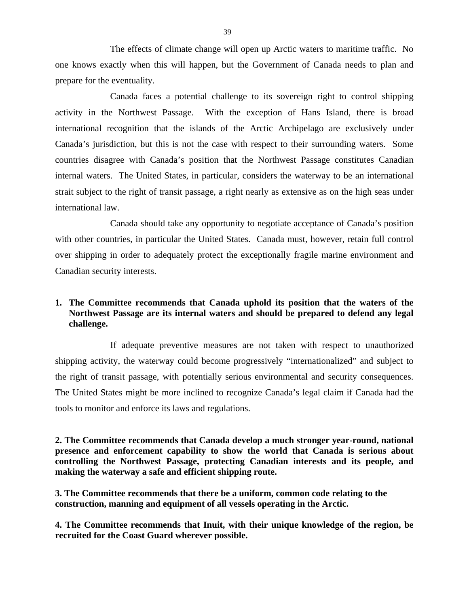The effects of climate change will open up Arctic waters to maritime traffic.No one knows exactly when this will happen, but the Government of Canada needs to plan and prepare for the eventuality.

Canada faces a potential challenge to its sovereign right to control shipping activity in the Northwest Passage. With the exception of Hans Island, there is broad international recognition that the islands of the Arctic Archipelago are exclusively under Canada's jurisdiction, but this is not the case with respect to their surrounding waters. Some countries disagree with Canada's position that the Northwest Passage constitutes Canadian internal waters. The United States, in particular, considers the waterway to be an international strait subject to the right of transit passage, a right nearly as extensive as on the high seas under international law.

Canada should take any opportunity to negotiate acceptance of Canada's position with other countries, in particular the United States. Canada must, however, retain full control over shipping in order to adequately protect the exceptionally fragile marine environment and Canadian security interests.

# **1. The Committee recommends that Canada uphold its position that the waters of the Northwest Passage are its internal waters and should be prepared to defend any legal challenge.**

If adequate preventive measures are not taken with respect to unauthorized shipping activity, the waterway could become progressively "internationalized" and subject to the right of transit passage, with potentially serious environmental and security consequences. The United States might be more inclined to recognize Canada's legal claim if Canada had the tools to monitor and enforce its laws and regulations.

**2. The Committee recommends that Canada develop a much stronger year-round, national presence and enforcement capability to show the world that Canada is serious about controlling the Northwest Passage, protecting Canadian interests and its people, and making the waterway a safe and efficient shipping route.** 

**3. The Committee recommends that there be a uniform, common code relating to the construction, manning and equipment of all vessels operating in the Arctic.** 

**4. The Committee recommends that Inuit, with their unique knowledge of the region, be recruited for the Coast Guard wherever possible.**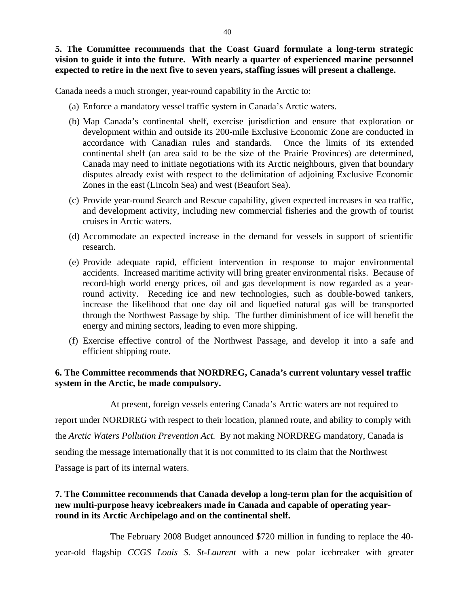# **5. The Committee recommends that the Coast Guard formulate a long-term strategic vision to guide it into the future. With nearly a quarter of experienced marine personnel expected to retire in the next five to seven years, staffing issues will present a challenge.**

Canada needs a much stronger, year-round capability in the Arctic to:

- (a) Enforce a mandatory vessel traffic system in Canada's Arctic waters.
- (b) Map Canada's continental shelf, exercise jurisdiction and ensure that exploration or development within and outside its 200-mile Exclusive Economic Zone are conducted in accordance with Canadian rules and standards. Once the limits of its extended continental shelf (an area said to be the size of the Prairie Provinces) are determined, Canada may need to initiate negotiations with its Arctic neighbours, given that boundary disputes already exist with respect to the delimitation of adjoining Exclusive Economic Zones in the east (Lincoln Sea) and west (Beaufort Sea).
- (c) Provide year-round Search and Rescue capability, given expected increases in sea traffic, and development activity, including new commercial fisheries and the growth of tourist cruises in Arctic waters.
- (d) Accommodate an expected increase in the demand for vessels in support of scientific research.
- (e) Provide adequate rapid, efficient intervention in response to major environmental accidents. Increased maritime activity will bring greater environmental risks. Because of record-high world energy prices, oil and gas development is now regarded as a yearround activity. Receding ice and new technologies, such as double-bowed tankers, increase the likelihood that one day oil and liquefied natural gas will be transported through the Northwest Passage by ship. The further diminishment of ice will benefit the energy and mining sectors, leading to even more shipping.
- (f) Exercise effective control of the Northwest Passage, and develop it into a safe and efficient shipping route.

# **6. The Committee recommends that NORDREG, Canada's current voluntary vessel traffic system in the Arctic, be made compulsory.**

At present, foreign vessels entering Canada's Arctic waters are not required to report under NORDREG with respect to their location, planned route, and ability to comply with the *Arctic Waters Pollution Prevention Act.* By not making NORDREG mandatory, Canada is sending the message internationally that it is not committed to its claim that the Northwest Passage is part of its internal waters.

# **7. The Committee recommends that Canada develop a long-term plan for the acquisition of new multi-purpose heavy icebreakers made in Canada and capable of operating yearround in its Arctic Archipelago and on the continental shelf.**

The February 2008 Budget announced \$720 million in funding to replace the 40 year-old flagship *CCGS Louis S. St-Laurent* with a new polar icebreaker with greater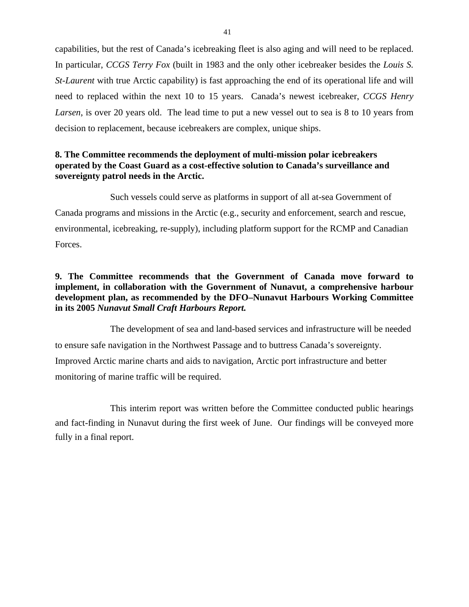capabilities, but the rest of Canada's icebreaking fleet is also aging and will need to be replaced. In particular, *CCGS Terry Fox* (built in 1983 and the only other icebreaker besides the *Louis S. St-Laurent* with true Arctic capability) is fast approaching the end of its operational life and will need to replaced within the next 10 to 15 years. Canada's newest icebreaker, *CCGS Henry Larsen*, is over 20 years old. The lead time to put a new vessel out to sea is 8 to 10 years from decision to replacement, because icebreakers are complex, unique ships.

## **8. The Committee recommends the deployment of multi-mission polar icebreakers operated by the Coast Guard as a cost-effective solution to Canada's surveillance and sovereignty patrol needs in the Arctic.**

Such vessels could serve as platforms in support of all at-sea Government of Canada programs and missions in the Arctic (e.g., security and enforcement, search and rescue, environmental, icebreaking, re-supply), including platform support for the RCMP and Canadian Forces.

## **9. The Committee recommends that the Government of Canada move forward to implement, in collaboration with the Government of Nunavut, a comprehensive harbour development plan, as recommended by the DFO–Nunavut Harbours Working Committee in its 2005** *Nunavut Small Craft Harbours Report.*

The development of sea and land-based services and infrastructure will be needed to ensure safe navigation in the Northwest Passage and to buttress Canada's sovereignty. Improved Arctic marine charts and aids to navigation, Arctic port infrastructure and better monitoring of marine traffic will be required.

This interim report was written before the Committee conducted public hearings and fact-finding in Nunavut during the first week of June. Our findings will be conveyed more fully in a final report.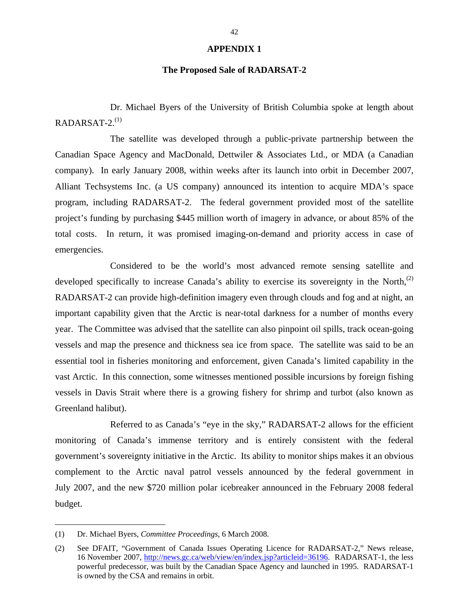#### **APPENDIX 1**

#### **The Proposed Sale of RADARSAT-2**

Dr. Michael Byers of the University of British Columbia spoke at length about RADARSAT-2.(1)

The satellite was developed through a public-private partnership between the Canadian Space Agency and MacDonald, Dettwiler & Associates Ltd., or MDA (a Canadian company). In early January 2008, within weeks after its launch into orbit in December 2007, Alliant Techsystems Inc. (a US company) announced its intention to acquire MDA's space program, including RADARSAT-2. The federal government provided most of the satellite project's funding by purchasing \$445 million worth of imagery in advance, or about 85% of the total costs. In return, it was promised imaging-on-demand and priority access in case of emergencies.

Considered to be the world's most advanced remote sensing satellite and developed specifically to increase Canada's ability to exercise its sovereignty in the North,<sup> $(2)$ </sup> RADARSAT-2 can provide high-definition imagery even through clouds and fog and at night, an important capability given that the Arctic is near-total darkness for a number of months every year. The Committee was advised that the satellite can also pinpoint oil spills, track ocean-going vessels and map the presence and thickness sea ice from space. The satellite was said to be an essential tool in fisheries monitoring and enforcement, given Canada's limited capability in the vast Arctic. In this connection, some witnesses mentioned possible incursions by foreign fishing vessels in Davis Strait where there is a growing fishery for shrimp and turbot (also known as Greenland halibut).

Referred to as Canada's "eye in the sky," RADARSAT-2 allows for the efficient monitoring of Canada's immense territory and is entirely consistent with the federal government's sovereignty initiative in the Arctic. Its ability to monitor ships makes it an obvious complement to the Arctic naval patrol vessels announced by the federal government in July 2007, and the new \$720 million polar icebreaker announced in the February 2008 federal budget.

l

<sup>(1)</sup> Dr. Michael Byers, *Committee Proceedings*, 6 March 2008.

<sup>(2)</sup> See DFAIT, "Government of Canada Issues Operating Licence for RADARSAT-2," News release, 16 November 2007, http://news.gc.ca/web/view/en/index.jsp?articleid=36196. RADARSAT-1, the less powerful predecessor, was built by the Canadian Space Agency and launched in 1995. RADARSAT-1 is owned by the CSA and remains in orbit.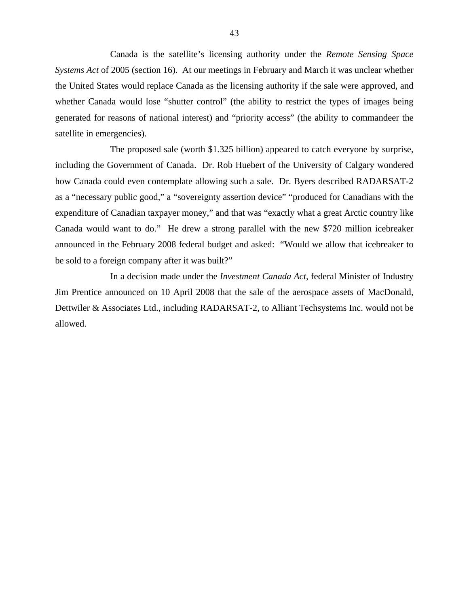Canada is the satellite's licensing authority under the *Remote Sensing Space Systems Act* of 2005 (section 16). At our meetings in February and March it was unclear whether the United States would replace Canada as the licensing authority if the sale were approved, and whether Canada would lose "shutter control" (the ability to restrict the types of images being generated for reasons of national interest) and "priority access" (the ability to commandeer the satellite in emergencies).

The proposed sale (worth \$1.325 billion) appeared to catch everyone by surprise, including the Government of Canada. Dr. Rob Huebert of the University of Calgary wondered how Canada could even contemplate allowing such a sale. Dr. Byers described RADARSAT-2 as a "necessary public good," a "sovereignty assertion device" "produced for Canadians with the expenditure of Canadian taxpayer money," and that was "exactly what a great Arctic country like Canada would want to do." He drew a strong parallel with the new \$720 million icebreaker announced in the February 2008 federal budget and asked: "Would we allow that icebreaker to be sold to a foreign company after it was built?"

In a decision made under the *Investment Canada Act*, federal Minister of Industry Jim Prentice announced on 10 April 2008 that the sale of the aerospace assets of MacDonald, Dettwiler & Associates Ltd., including RADARSAT-2, to Alliant Techsystems Inc. would not be allowed.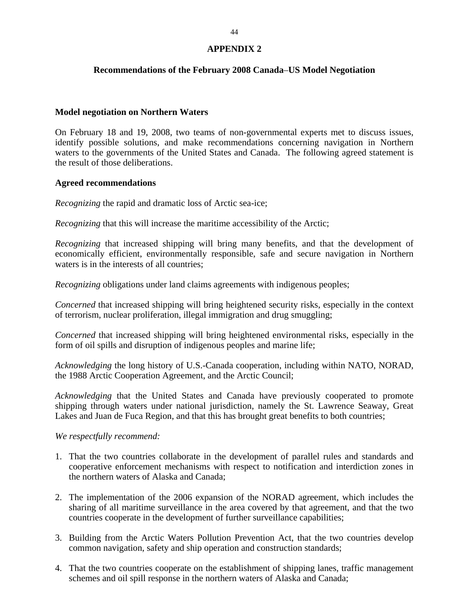## **APPENDIX 2**

## **Recommendations of the February 2008 Canada**–**US Model Negotiation**

## **Model negotiation on Northern Waters**

On February 18 and 19, 2008, two teams of non-governmental experts met to discuss issues, identify possible solutions, and make recommendations concerning navigation in Northern waters to the governments of the United States and Canada. The following agreed statement is the result of those deliberations.

## **Agreed recommendations**

*Recognizing* the rapid and dramatic loss of Arctic sea-ice;

*Recognizing* that this will increase the maritime accessibility of the Arctic;

*Recognizing* that increased shipping will bring many benefits, and that the development of economically efficient, environmentally responsible, safe and secure navigation in Northern waters is in the interests of all countries;

*Recognizing* obligations under land claims agreements with indigenous peoples;

*Concerned* that increased shipping will bring heightened security risks, especially in the context of terrorism, nuclear proliferation, illegal immigration and drug smuggling;

*Concerned* that increased shipping will bring heightened environmental risks, especially in the form of oil spills and disruption of indigenous peoples and marine life;

*Acknowledging* the long history of U.S.-Canada cooperation, including within NATO, NORAD, the 1988 Arctic Cooperation Agreement, and the Arctic Council;

*Acknowledging* that the United States and Canada have previously cooperated to promote shipping through waters under national jurisdiction, namely the St. Lawrence Seaway, Great Lakes and Juan de Fuca Region, and that this has brought great benefits to both countries;

*We respectfully recommend:* 

- 1. That the two countries collaborate in the development of parallel rules and standards and cooperative enforcement mechanisms with respect to notification and interdiction zones in the northern waters of Alaska and Canada;
- 2. The implementation of the 2006 expansion of the NORAD agreement, which includes the sharing of all maritime surveillance in the area covered by that agreement, and that the two countries cooperate in the development of further surveillance capabilities;
- 3. Building from the Arctic Waters Pollution Prevention Act, that the two countries develop common navigation, safety and ship operation and construction standards;
- 4. That the two countries cooperate on the establishment of shipping lanes, traffic management schemes and oil spill response in the northern waters of Alaska and Canada;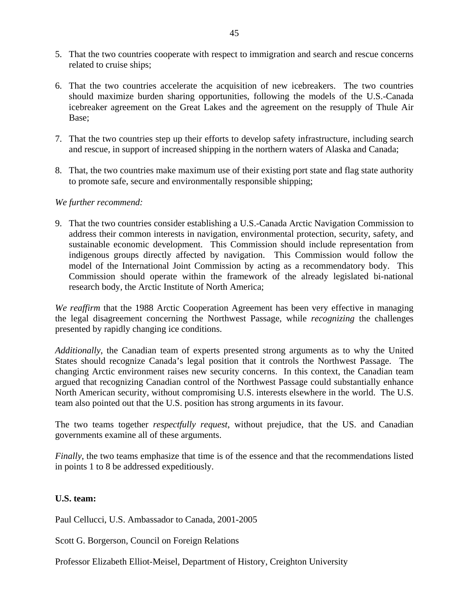- 5. That the two countries cooperate with respect to immigration and search and rescue concerns related to cruise ships;
- 6. That the two countries accelerate the acquisition of new icebreakers. The two countries should maximize burden sharing opportunities, following the models of the U.S.-Canada icebreaker agreement on the Great Lakes and the agreement on the resupply of Thule Air Base;
- 7. That the two countries step up their efforts to develop safety infrastructure, including search and rescue, in support of increased shipping in the northern waters of Alaska and Canada;
- 8. That, the two countries make maximum use of their existing port state and flag state authority to promote safe, secure and environmentally responsible shipping;

## *We further recommend:*

9. That the two countries consider establishing a U.S.-Canada Arctic Navigation Commission to address their common interests in navigation, environmental protection, security, safety, and sustainable economic development. This Commission should include representation from indigenous groups directly affected by navigation. This Commission would follow the model of the International Joint Commission by acting as a recommendatory body. This Commission should operate within the framework of the already legislated bi-national research body, the Arctic Institute of North America;

*We reaffirm* that the 1988 Arctic Cooperation Agreement has been very effective in managing the legal disagreement concerning the Northwest Passage, while *recognizing* the challenges presented by rapidly changing ice conditions.

*Additionally*, the Canadian team of experts presented strong arguments as to why the United States should recognize Canada's legal position that it controls the Northwest Passage. The changing Arctic environment raises new security concerns. In this context, the Canadian team argued that recognizing Canadian control of the Northwest Passage could substantially enhance North American security, without compromising U.S. interests elsewhere in the world. The U.S. team also pointed out that the U.S. position has strong arguments in its favour.

The two teams together *respectfully request*, without prejudice, that the US. and Canadian governments examine all of these arguments.

*Finally*, the two teams emphasize that time is of the essence and that the recommendations listed in points 1 to 8 be addressed expeditiously.

## **U.S. team:**

Paul Cellucci, U.S. Ambassador to Canada, 2001-2005

Scott G. Borgerson, Council on Foreign Relations

Professor Elizabeth Elliot-Meisel, Department of History, Creighton University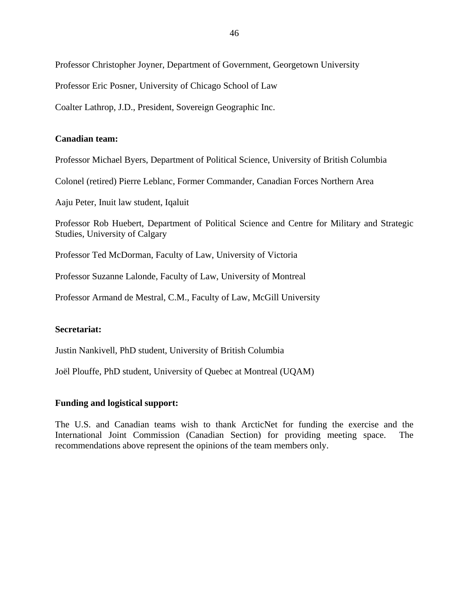Professor Christopher Joyner, Department of Government, Georgetown University

Professor Eric Posner, University of Chicago School of Law

Coalter Lathrop, J.D., President, Sovereign Geographic Inc.

# **Canadian team:**

Professor Michael Byers, Department of Political Science, University of British Columbia

Colonel (retired) Pierre Leblanc, Former Commander, Canadian Forces Northern Area

Aaju Peter, Inuit law student, Iqaluit

Professor Rob Huebert, Department of Political Science and Centre for Military and Strategic Studies, University of Calgary

Professor Ted McDorman, Faculty of Law, University of Victoria

Professor Suzanne Lalonde, Faculty of Law, University of Montreal

Professor Armand de Mestral, C.M., Faculty of Law, McGill University

# **Secretariat:**

Justin Nankivell, PhD student, University of British Columbia

Joël Plouffe, PhD student, University of Quebec at Montreal (UQAM)

# **Funding and logistical support:**

The U.S. and Canadian teams wish to thank ArcticNet for funding the exercise and the International Joint Commission (Canadian Section) for providing meeting space. The recommendations above represent the opinions of the team members only.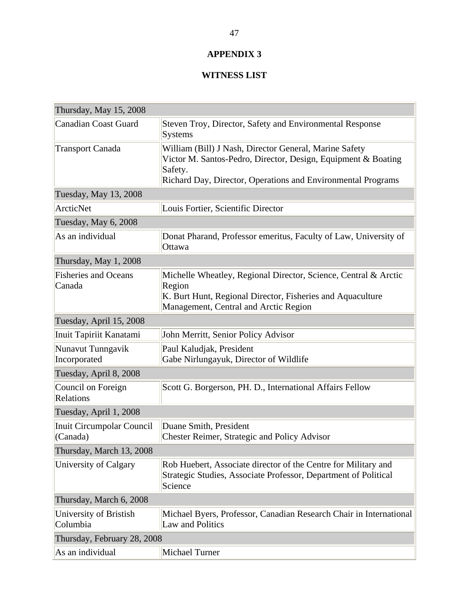# **APPENDIX 3**

# **WITNESS LIST**

| Thursday, May 15, 2008                       |                                                                                                                                                                                                    |  |  |  |
|----------------------------------------------|----------------------------------------------------------------------------------------------------------------------------------------------------------------------------------------------------|--|--|--|
| <b>Canadian Coast Guard</b>                  | Steven Troy, Director, Safety and Environmental Response<br>Systems                                                                                                                                |  |  |  |
| <b>Transport Canada</b>                      | William (Bill) J Nash, Director General, Marine Safety<br>Victor M. Santos-Pedro, Director, Design, Equipment & Boating<br>Safety.<br>Richard Day, Director, Operations and Environmental Programs |  |  |  |
| Tuesday, May 13, 2008                        |                                                                                                                                                                                                    |  |  |  |
| ArcticNet                                    | Louis Fortier, Scientific Director                                                                                                                                                                 |  |  |  |
| Tuesday, May 6, 2008                         |                                                                                                                                                                                                    |  |  |  |
| As an individual                             | Donat Pharand, Professor emeritus, Faculty of Law, University of<br>Ottawa                                                                                                                         |  |  |  |
| Thursday, May 1, 2008                        |                                                                                                                                                                                                    |  |  |  |
| <b>Fisheries and Oceans</b><br>Canada        | Michelle Wheatley, Regional Director, Science, Central & Arctic<br>Region<br>K. Burt Hunt, Regional Director, Fisheries and Aquaculture<br>Management, Central and Arctic Region                   |  |  |  |
| Tuesday, April 15, 2008                      |                                                                                                                                                                                                    |  |  |  |
| Inuit Tapiriit Kanatami                      | John Merritt, Senior Policy Advisor                                                                                                                                                                |  |  |  |
| Nunavut Tunngavik<br>Incorporated            | Paul Kaludjak, President<br>Gabe Nirlungayuk, Director of Wildlife                                                                                                                                 |  |  |  |
| Tuesday, April 8, 2008                       |                                                                                                                                                                                                    |  |  |  |
| Council on Foreign<br>Relations              | Scott G. Borgerson, PH. D., International Affairs Fellow                                                                                                                                           |  |  |  |
| Tuesday, April 1, 2008                       |                                                                                                                                                                                                    |  |  |  |
| <b>Inuit Circumpolar Council</b><br>(Canada) | Duane Smith, President<br>Chester Reimer, Strategic and Policy Advisor                                                                                                                             |  |  |  |
| Thursday, March 13, 2008                     |                                                                                                                                                                                                    |  |  |  |
| University of Calgary                        | Rob Huebert, Associate director of the Centre for Military and<br>Strategic Studies, Associate Professor, Department of Political<br>Science                                                       |  |  |  |
| Thursday, March 6, 2008                      |                                                                                                                                                                                                    |  |  |  |
| University of Bristish<br>Columbia           | Michael Byers, Professor, Canadian Research Chair in International<br>Law and Politics                                                                                                             |  |  |  |
| Thursday, February 28, 2008                  |                                                                                                                                                                                                    |  |  |  |
| As an individual                             | Michael Turner                                                                                                                                                                                     |  |  |  |